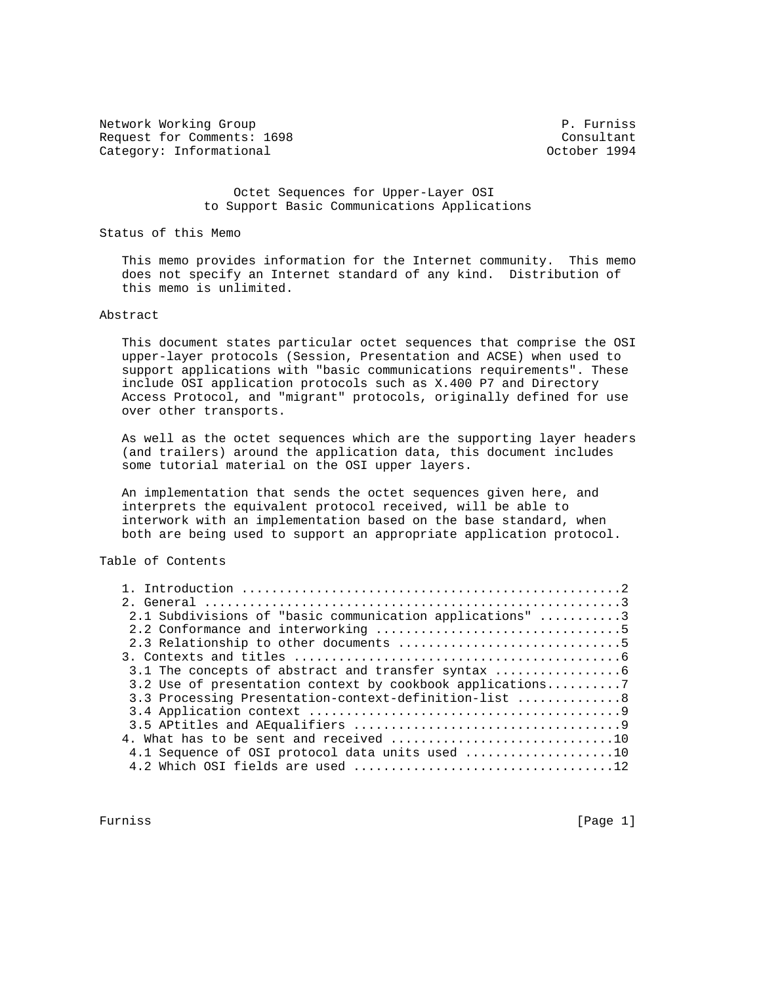Network Working Group **P. Furniss** Request for Comments: 1698<br>
Category: Informational Category: Informational Category: Informational

 Octet Sequences for Upper-Layer OSI to Support Basic Communications Applications

Status of this Memo

 This memo provides information for the Internet community. This memo does not specify an Internet standard of any kind. Distribution of this memo is unlimited.

# Abstract

 This document states particular octet sequences that comprise the OSI upper-layer protocols (Session, Presentation and ACSE) when used to support applications with "basic communications requirements". These include OSI application protocols such as X.400 P7 and Directory Access Protocol, and "migrant" protocols, originally defined for use over other transports.

 As well as the octet sequences which are the supporting layer headers (and trailers) around the application data, this document includes some tutorial material on the OSI upper layers.

 An implementation that sends the octet sequences given here, and interprets the equivalent protocol received, will be able to interwork with an implementation based on the base standard, when both are being used to support an appropriate application protocol.

# Table of Contents

| 2.1 Subdivisions of "basic communication applications" 3  |  |
|-----------------------------------------------------------|--|
|                                                           |  |
|                                                           |  |
|                                                           |  |
| 3.1 The concepts of abstract and transfer syntax          |  |
| 3.2 Use of presentation context by cookbook applications7 |  |
| 3.3 Processing Presentation-context-definition-list  8    |  |
|                                                           |  |
|                                                           |  |
| 4. What has to be sent and received 10                    |  |
| 4.1 Sequence of OSI protocol data units used 10           |  |
|                                                           |  |

Furniss [Page 1]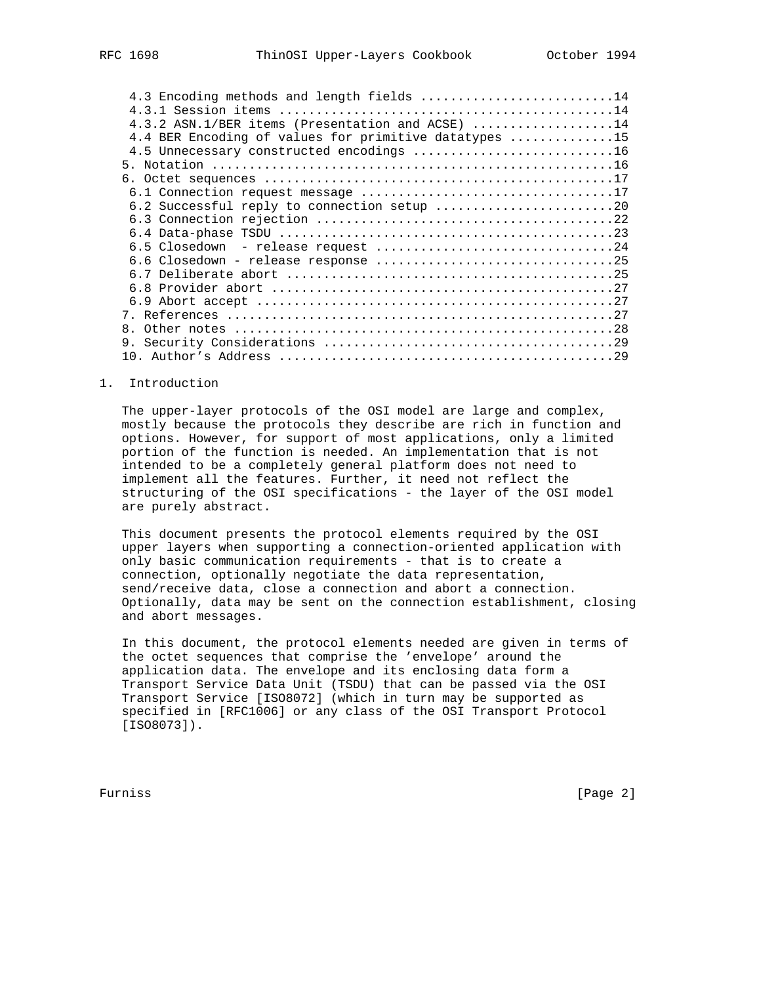| 4.3 Encoding methods and length fields 14             |
|-------------------------------------------------------|
|                                                       |
| 4.3.2 ASN.1/BER items (Presentation and ACSE) 14      |
| 4.4 BER Encoding of values for primitive datatypes 15 |
| 4.5 Unnecessary constructed encodings 16              |
|                                                       |
|                                                       |
|                                                       |
| 6.2 Successful reply to connection setup 20           |
|                                                       |
|                                                       |
|                                                       |
|                                                       |
|                                                       |
|                                                       |
|                                                       |
|                                                       |
| 8.                                                    |
|                                                       |
|                                                       |

#### 1. Introduction

 The upper-layer protocols of the OSI model are large and complex, mostly because the protocols they describe are rich in function and options. However, for support of most applications, only a limited portion of the function is needed. An implementation that is not intended to be a completely general platform does not need to implement all the features. Further, it need not reflect the structuring of the OSI specifications - the layer of the OSI model are purely abstract.

 This document presents the protocol elements required by the OSI upper layers when supporting a connection-oriented application with only basic communication requirements - that is to create a connection, optionally negotiate the data representation, send/receive data, close a connection and abort a connection. Optionally, data may be sent on the connection establishment, closing and abort messages.

 In this document, the protocol elements needed are given in terms of the octet sequences that comprise the 'envelope' around the application data. The envelope and its enclosing data form a Transport Service Data Unit (TSDU) that can be passed via the OSI Transport Service [ISO8072] (which in turn may be supported as specified in [RFC1006] or any class of the OSI Transport Protocol [ISO8073]).

Furniss [Page 2]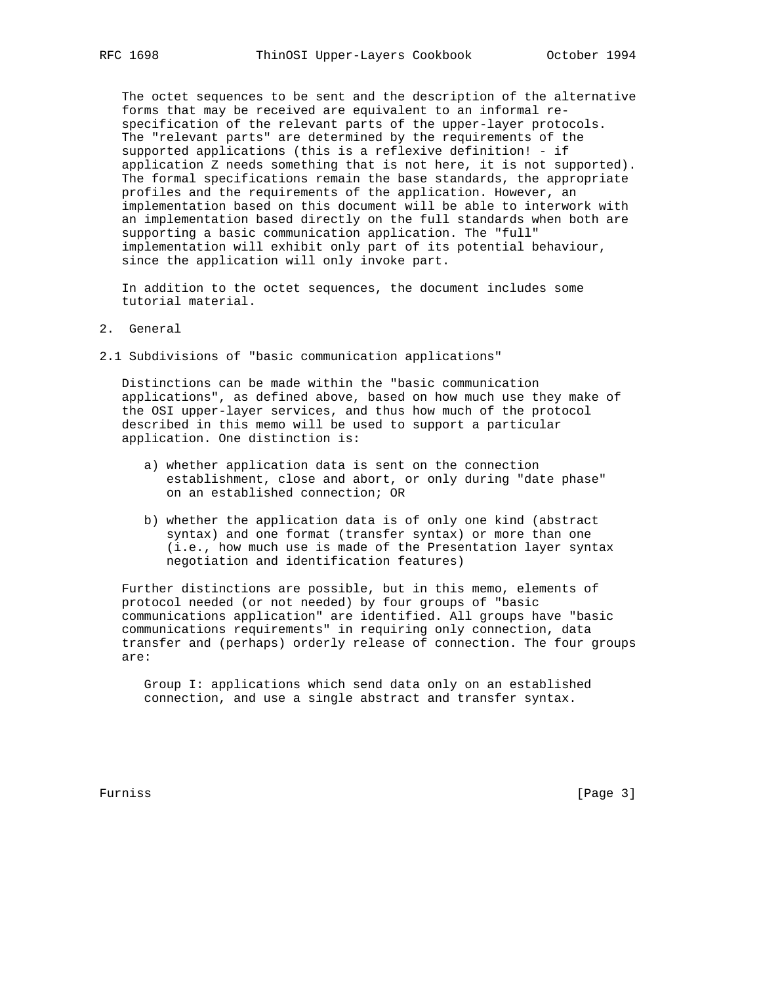The octet sequences to be sent and the description of the alternative forms that may be received are equivalent to an informal re specification of the relevant parts of the upper-layer protocols. The "relevant parts" are determined by the requirements of the supported applications (this is a reflexive definition! - if application Z needs something that is not here, it is not supported). The formal specifications remain the base standards, the appropriate profiles and the requirements of the application. However, an implementation based on this document will be able to interwork with an implementation based directly on the full standards when both are supporting a basic communication application. The "full" implementation will exhibit only part of its potential behaviour, since the application will only invoke part.

 In addition to the octet sequences, the document includes some tutorial material.

- 2. General
- 2.1 Subdivisions of "basic communication applications"

 Distinctions can be made within the "basic communication applications", as defined above, based on how much use they make of the OSI upper-layer services, and thus how much of the protocol described in this memo will be used to support a particular application. One distinction is:

- a) whether application data is sent on the connection establishment, close and abort, or only during "date phase" on an established connection; OR
- b) whether the application data is of only one kind (abstract syntax) and one format (transfer syntax) or more than one (i.e., how much use is made of the Presentation layer syntax negotiation and identification features)

 Further distinctions are possible, but in this memo, elements of protocol needed (or not needed) by four groups of "basic communications application" are identified. All groups have "basic communications requirements" in requiring only connection, data transfer and (perhaps) orderly release of connection. The four groups are:

 Group I: applications which send data only on an established connection, and use a single abstract and transfer syntax.

Furniss [Page 3]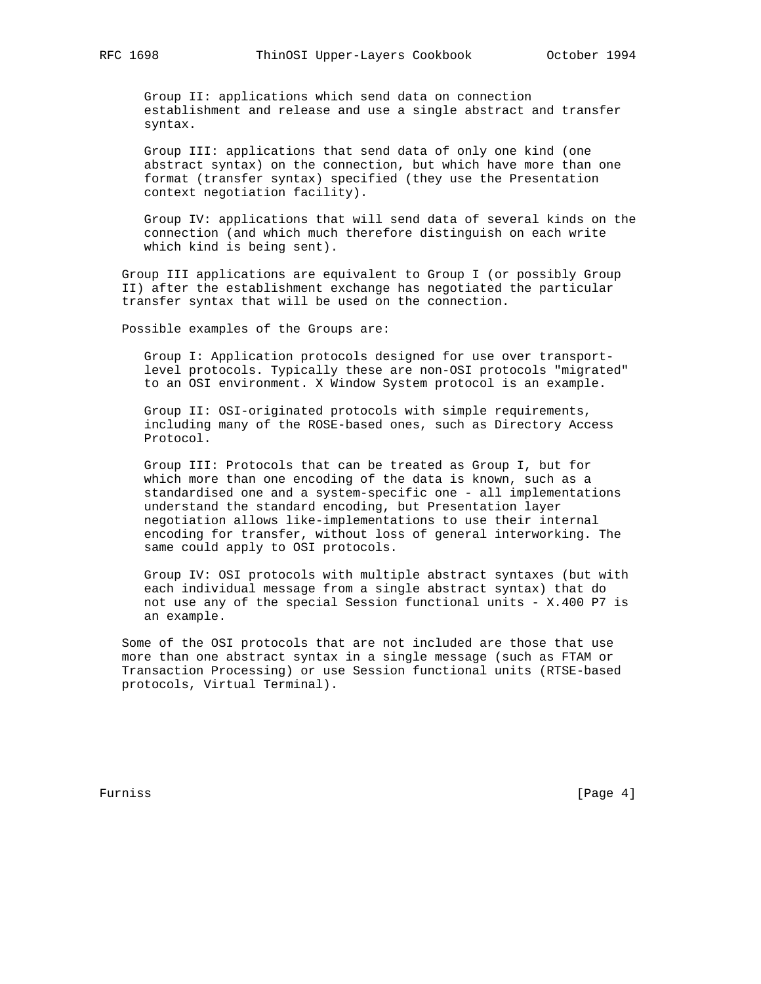Group II: applications which send data on connection establishment and release and use a single abstract and transfer syntax.

 Group III: applications that send data of only one kind (one abstract syntax) on the connection, but which have more than one format (transfer syntax) specified (they use the Presentation context negotiation facility).

 Group IV: applications that will send data of several kinds on the connection (and which much therefore distinguish on each write which kind is being sent).

 Group III applications are equivalent to Group I (or possibly Group II) after the establishment exchange has negotiated the particular transfer syntax that will be used on the connection.

Possible examples of the Groups are:

 Group I: Application protocols designed for use over transport level protocols. Typically these are non-OSI protocols "migrated" to an OSI environment. X Window System protocol is an example.

 Group II: OSI-originated protocols with simple requirements, including many of the ROSE-based ones, such as Directory Access Protocol.

 Group III: Protocols that can be treated as Group I, but for which more than one encoding of the data is known, such as a standardised one and a system-specific one - all implementations understand the standard encoding, but Presentation layer negotiation allows like-implementations to use their internal encoding for transfer, without loss of general interworking. The same could apply to OSI protocols.

 Group IV: OSI protocols with multiple abstract syntaxes (but with each individual message from a single abstract syntax) that do not use any of the special Session functional units - X.400 P7 is an example.

 Some of the OSI protocols that are not included are those that use more than one abstract syntax in a single message (such as FTAM or Transaction Processing) or use Session functional units (RTSE-based protocols, Virtual Terminal).

Furniss [Page 4]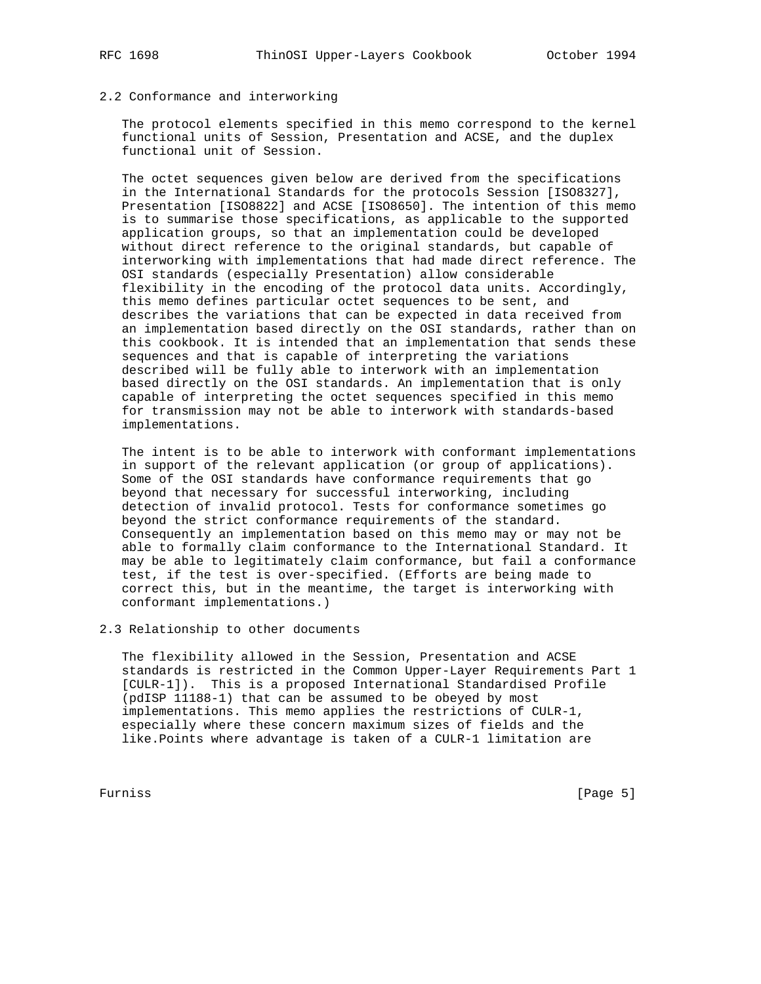# 2.2 Conformance and interworking

 The protocol elements specified in this memo correspond to the kernel functional units of Session, Presentation and ACSE, and the duplex functional unit of Session.

 The octet sequences given below are derived from the specifications in the International Standards for the protocols Session [ISO8327], Presentation [ISO8822] and ACSE [ISO8650]. The intention of this memo is to summarise those specifications, as applicable to the supported application groups, so that an implementation could be developed without direct reference to the original standards, but capable of interworking with implementations that had made direct reference. The OSI standards (especially Presentation) allow considerable flexibility in the encoding of the protocol data units. Accordingly, this memo defines particular octet sequences to be sent, and describes the variations that can be expected in data received from an implementation based directly on the OSI standards, rather than on this cookbook. It is intended that an implementation that sends these sequences and that is capable of interpreting the variations described will be fully able to interwork with an implementation based directly on the OSI standards. An implementation that is only capable of interpreting the octet sequences specified in this memo for transmission may not be able to interwork with standards-based implementations.

 The intent is to be able to interwork with conformant implementations in support of the relevant application (or group of applications). Some of the OSI standards have conformance requirements that go beyond that necessary for successful interworking, including detection of invalid protocol. Tests for conformance sometimes go beyond the strict conformance requirements of the standard. Consequently an implementation based on this memo may or may not be able to formally claim conformance to the International Standard. It may be able to legitimately claim conformance, but fail a conformance test, if the test is over-specified. (Efforts are being made to correct this, but in the meantime, the target is interworking with conformant implementations.)

# 2.3 Relationship to other documents

 The flexibility allowed in the Session, Presentation and ACSE standards is restricted in the Common Upper-Layer Requirements Part 1 [CULR-1]). This is a proposed International Standardised Profile (pdISP 11188-1) that can be assumed to be obeyed by most implementations. This memo applies the restrictions of CULR-1, especially where these concern maximum sizes of fields and the like.Points where advantage is taken of a CULR-1 limitation are

Furniss [Page 5]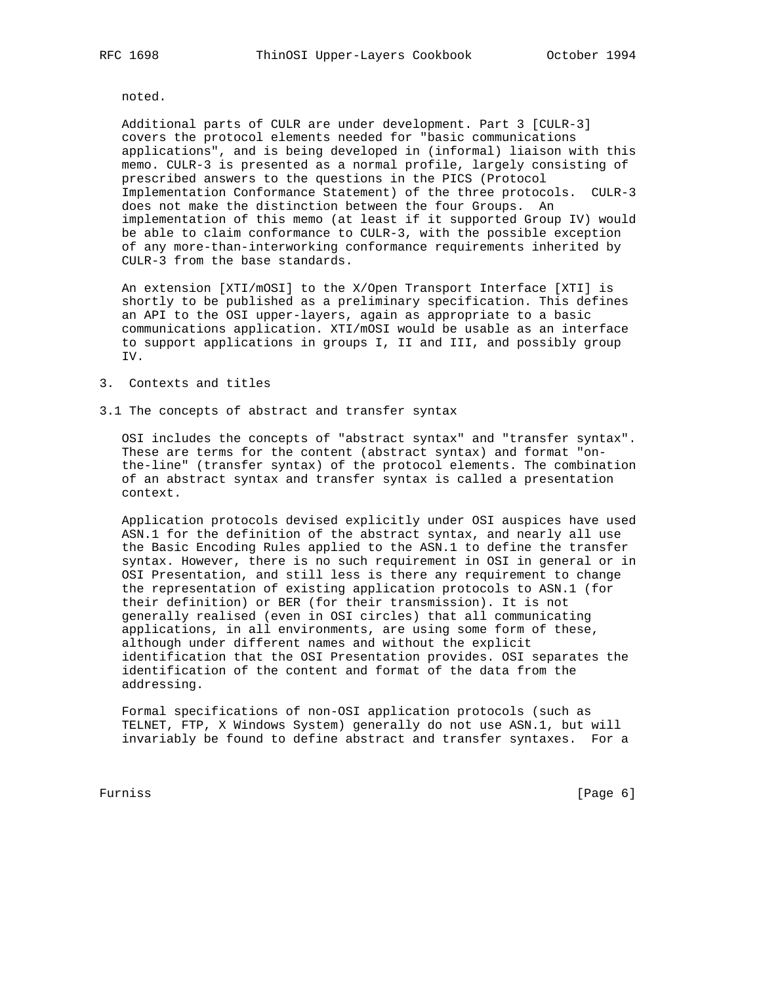noted.

 Additional parts of CULR are under development. Part 3 [CULR-3] covers the protocol elements needed for "basic communications applications", and is being developed in (informal) liaison with this memo. CULR-3 is presented as a normal profile, largely consisting of prescribed answers to the questions in the PICS (Protocol Implementation Conformance Statement) of the three protocols. CULR-3 does not make the distinction between the four Groups. An implementation of this memo (at least if it supported Group IV) would be able to claim conformance to CULR-3, with the possible exception of any more-than-interworking conformance requirements inherited by CULR-3 from the base standards.

 An extension [XTI/mOSI] to the X/Open Transport Interface [XTI] is shortly to be published as a preliminary specification. This defines an API to the OSI upper-layers, again as appropriate to a basic communications application. XTI/mOSI would be usable as an interface to support applications in groups I, II and III, and possibly group IV.

# 3. Contexts and titles

3.1 The concepts of abstract and transfer syntax

 OSI includes the concepts of "abstract syntax" and "transfer syntax". These are terms for the content (abstract syntax) and format "on the-line" (transfer syntax) of the protocol elements. The combination of an abstract syntax and transfer syntax is called a presentation context.

 Application protocols devised explicitly under OSI auspices have used ASN.1 for the definition of the abstract syntax, and nearly all use the Basic Encoding Rules applied to the ASN.1 to define the transfer syntax. However, there is no such requirement in OSI in general or in OSI Presentation, and still less is there any requirement to change the representation of existing application protocols to ASN.1 (for their definition) or BER (for their transmission). It is not generally realised (even in OSI circles) that all communicating applications, in all environments, are using some form of these, although under different names and without the explicit identification that the OSI Presentation provides. OSI separates the identification of the content and format of the data from the addressing.

 Formal specifications of non-OSI application protocols (such as TELNET, FTP, X Windows System) generally do not use ASN.1, but will invariably be found to define abstract and transfer syntaxes. For a

Furniss [Page 6]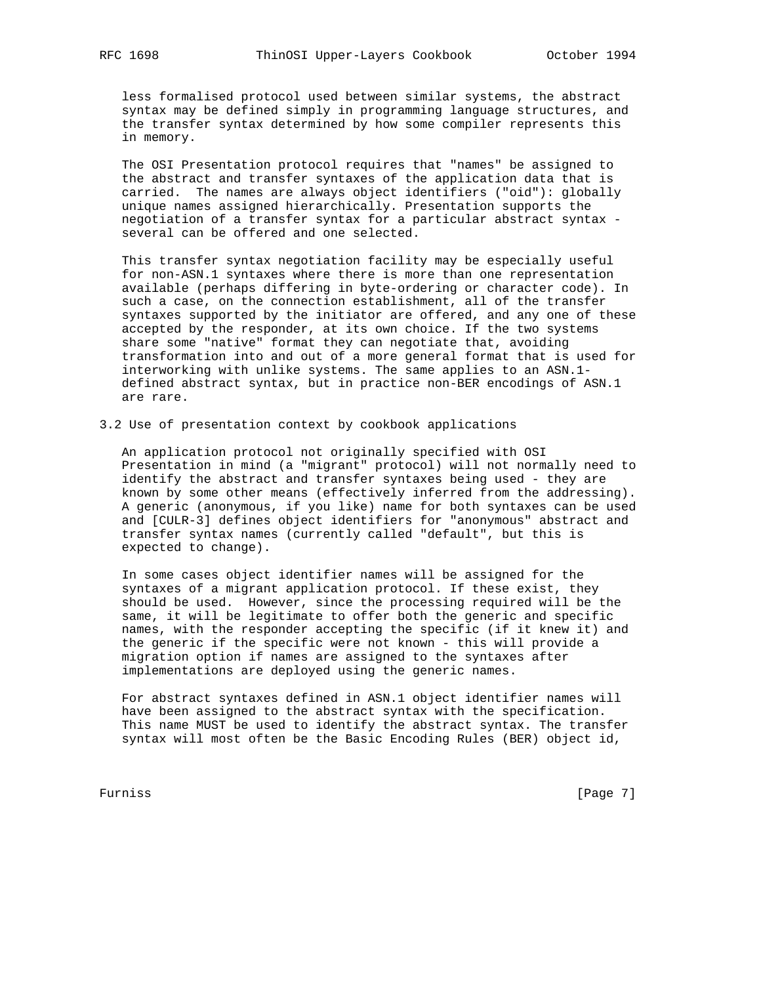less formalised protocol used between similar systems, the abstract syntax may be defined simply in programming language structures, and the transfer syntax determined by how some compiler represents this in memory.

 The OSI Presentation protocol requires that "names" be assigned to the abstract and transfer syntaxes of the application data that is carried. The names are always object identifiers ("oid"): globally unique names assigned hierarchically. Presentation supports the negotiation of a transfer syntax for a particular abstract syntax several can be offered and one selected.

 This transfer syntax negotiation facility may be especially useful for non-ASN.1 syntaxes where there is more than one representation available (perhaps differing in byte-ordering or character code). In such a case, on the connection establishment, all of the transfer syntaxes supported by the initiator are offered, and any one of these accepted by the responder, at its own choice. If the two systems share some "native" format they can negotiate that, avoiding transformation into and out of a more general format that is used for interworking with unlike systems. The same applies to an ASN.1 defined abstract syntax, but in practice non-BER encodings of ASN.1 are rare.

3.2 Use of presentation context by cookbook applications

 An application protocol not originally specified with OSI Presentation in mind (a "migrant" protocol) will not normally need to identify the abstract and transfer syntaxes being used - they are known by some other means (effectively inferred from the addressing). A generic (anonymous, if you like) name for both syntaxes can be used and [CULR-3] defines object identifiers for "anonymous" abstract and transfer syntax names (currently called "default", but this is expected to change).

 In some cases object identifier names will be assigned for the syntaxes of a migrant application protocol. If these exist, they should be used. However, since the processing required will be the same, it will be legitimate to offer both the generic and specific names, with the responder accepting the specific (if it knew it) and the generic if the specific were not known - this will provide a migration option if names are assigned to the syntaxes after implementations are deployed using the generic names.

 For abstract syntaxes defined in ASN.1 object identifier names will have been assigned to the abstract syntax with the specification. This name MUST be used to identify the abstract syntax. The transfer syntax will most often be the Basic Encoding Rules (BER) object id,

Furniss [Page 7]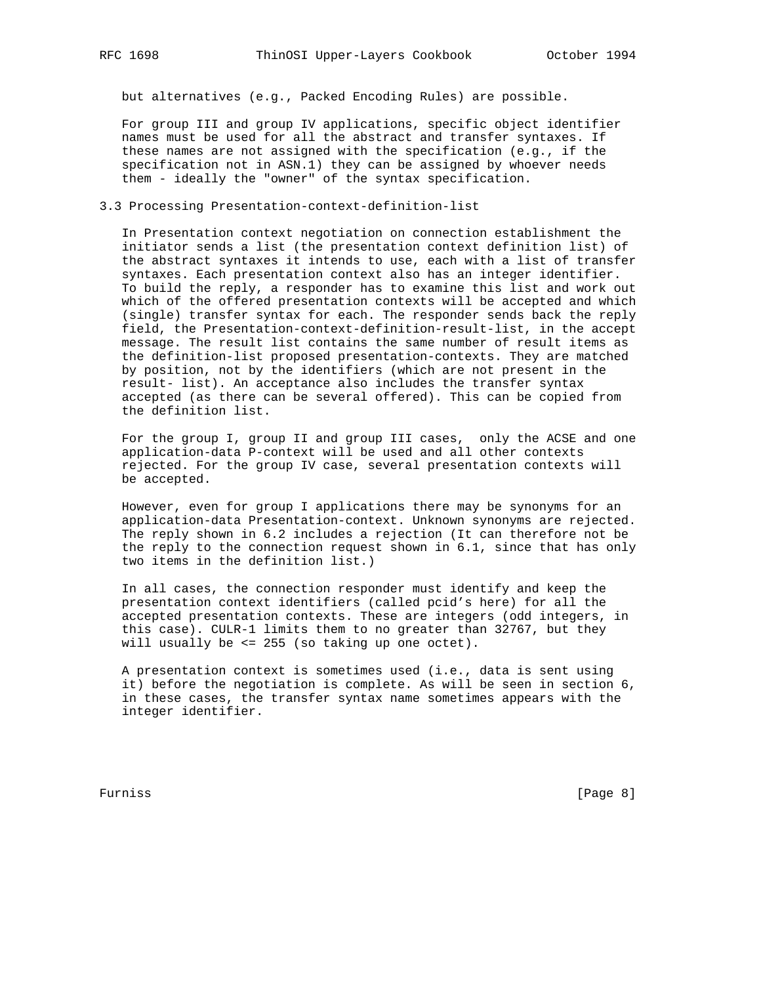but alternatives (e.g., Packed Encoding Rules) are possible.

 For group III and group IV applications, specific object identifier names must be used for all the abstract and transfer syntaxes. If these names are not assigned with the specification (e.g., if the specification not in ASN.1) they can be assigned by whoever needs them - ideally the "owner" of the syntax specification.

3.3 Processing Presentation-context-definition-list

 In Presentation context negotiation on connection establishment the initiator sends a list (the presentation context definition list) of the abstract syntaxes it intends to use, each with a list of transfer syntaxes. Each presentation context also has an integer identifier. To build the reply, a responder has to examine this list and work out which of the offered presentation contexts will be accepted and which (single) transfer syntax for each. The responder sends back the reply field, the Presentation-context-definition-result-list, in the accept message. The result list contains the same number of result items as the definition-list proposed presentation-contexts. They are matched by position, not by the identifiers (which are not present in the result- list). An acceptance also includes the transfer syntax accepted (as there can be several offered). This can be copied from the definition list.

 For the group I, group II and group III cases, only the ACSE and one application-data P-context will be used and all other contexts rejected. For the group IV case, several presentation contexts will be accepted.

 However, even for group I applications there may be synonyms for an application-data Presentation-context. Unknown synonyms are rejected. The reply shown in 6.2 includes a rejection (It can therefore not be the reply to the connection request shown in 6.1, since that has only two items in the definition list.)

 In all cases, the connection responder must identify and keep the presentation context identifiers (called pcid's here) for all the accepted presentation contexts. These are integers (odd integers, in this case). CULR-1 limits them to no greater than 32767, but they will usually be <= 255 (so taking up one octet).

 A presentation context is sometimes used (i.e., data is sent using it) before the negotiation is complete. As will be seen in section 6, in these cases, the transfer syntax name sometimes appears with the integer identifier.

Furniss [Page 8]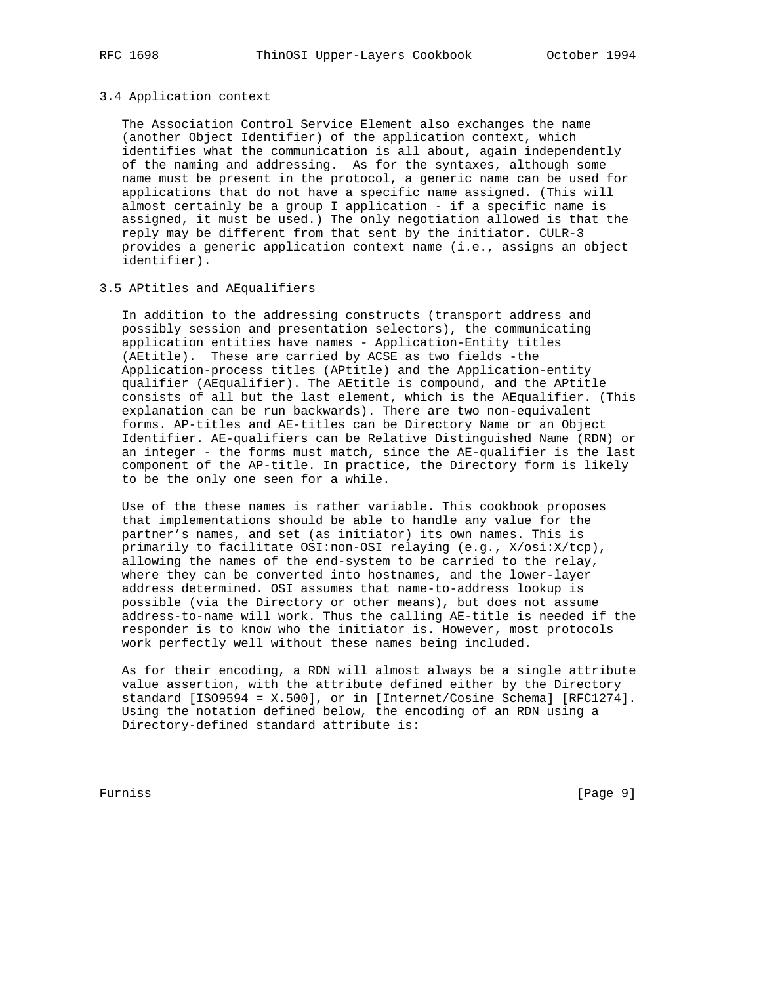#### 3.4 Application context

 The Association Control Service Element also exchanges the name (another Object Identifier) of the application context, which identifies what the communication is all about, again independently of the naming and addressing. As for the syntaxes, although some name must be present in the protocol, a generic name can be used for applications that do not have a specific name assigned. (This will almost certainly be a group I application - if a specific name is assigned, it must be used.) The only negotiation allowed is that the reply may be different from that sent by the initiator. CULR-3 provides a generic application context name (i.e., assigns an object identifier).

## 3.5 APtitles and AEqualifiers

 In addition to the addressing constructs (transport address and possibly session and presentation selectors), the communicating application entities have names - Application-Entity titles (AEtitle). These are carried by ACSE as two fields -the Application-process titles (APtitle) and the Application-entity qualifier (AEqualifier). The AEtitle is compound, and the APtitle consists of all but the last element, which is the AEqualifier. (This explanation can be run backwards). There are two non-equivalent forms. AP-titles and AE-titles can be Directory Name or an Object Identifier. AE-qualifiers can be Relative Distinguished Name (RDN) or an integer - the forms must match, since the AE-qualifier is the last component of the AP-title. In practice, the Directory form is likely to be the only one seen for a while.

 Use of the these names is rather variable. This cookbook proposes that implementations should be able to handle any value for the partner's names, and set (as initiator) its own names. This is primarily to facilitate OSI:non-OSI relaying (e.g., X/osi:X/tcp), allowing the names of the end-system to be carried to the relay, where they can be converted into hostnames, and the lower-layer address determined. OSI assumes that name-to-address lookup is possible (via the Directory or other means), but does not assume address-to-name will work. Thus the calling AE-title is needed if the responder is to know who the initiator is. However, most protocols work perfectly well without these names being included.

 As for their encoding, a RDN will almost always be a single attribute value assertion, with the attribute defined either by the Directory standard [ISO9594 = X.500], or in [Internet/Cosine Schema] [RFC1274]. Using the notation defined below, the encoding of an RDN using a Directory-defined standard attribute is:

Furniss [Page 9]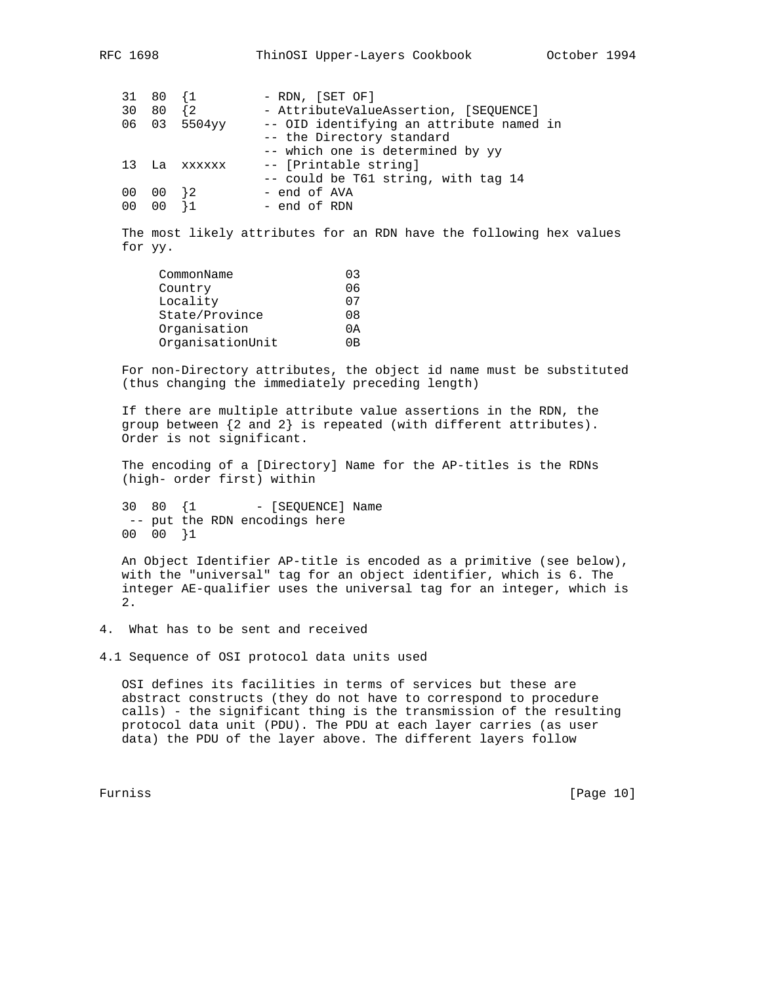|    | 31 80 1  |              | - RDN, [SET OF]                          |
|----|----------|--------------|------------------------------------------|
| 30 | 80 {2    |              | - AttributeValueAssertion, [SEQUENCE]    |
|    |          | 06 03 5504yy | -- OID identifying an attribute named in |
|    |          |              | -- the Directory standard                |
|    |          |              | -- which one is determined by yy         |
| 13 |          | La xxxxxx    | -- [Printable string]                    |
|    |          |              | -- could be T61 string, with tag 14      |
| 00 | $00$ } 2 |              | - end of AVA                             |
| 00 |          |              | - end of RDN                             |

 The most likely attributes for an RDN have the following hex values for yy.

| CommonName       | 03 |
|------------------|----|
| Country          | 06 |
| Locality         | 07 |
| State/Province   | 08 |
| Organisation     | 0A |
| OrganisationUnit | OΒ |

 For non-Directory attributes, the object id name must be substituted (thus changing the immediately preceding length)

 If there are multiple attribute value assertions in the RDN, the group between {2 and 2} is repeated (with different attributes). Order is not significant.

 The encoding of a [Directory] Name for the AP-titles is the RDNs (high- order first) within

30 80 {1 - [SEQUENCE] Name -- put the RDN encodings here 00 00 }1

 An Object Identifier AP-title is encoded as a primitive (see below), with the "universal" tag for an object identifier, which is 6. The integer AE-qualifier uses the universal tag for an integer, which is 2.

4. What has to be sent and received

4.1 Sequence of OSI protocol data units used

 OSI defines its facilities in terms of services but these are abstract constructs (they do not have to correspond to procedure calls) - the significant thing is the transmission of the resulting protocol data unit (PDU). The PDU at each layer carries (as user data) the PDU of the layer above. The different layers follow

Furniss [Page 10]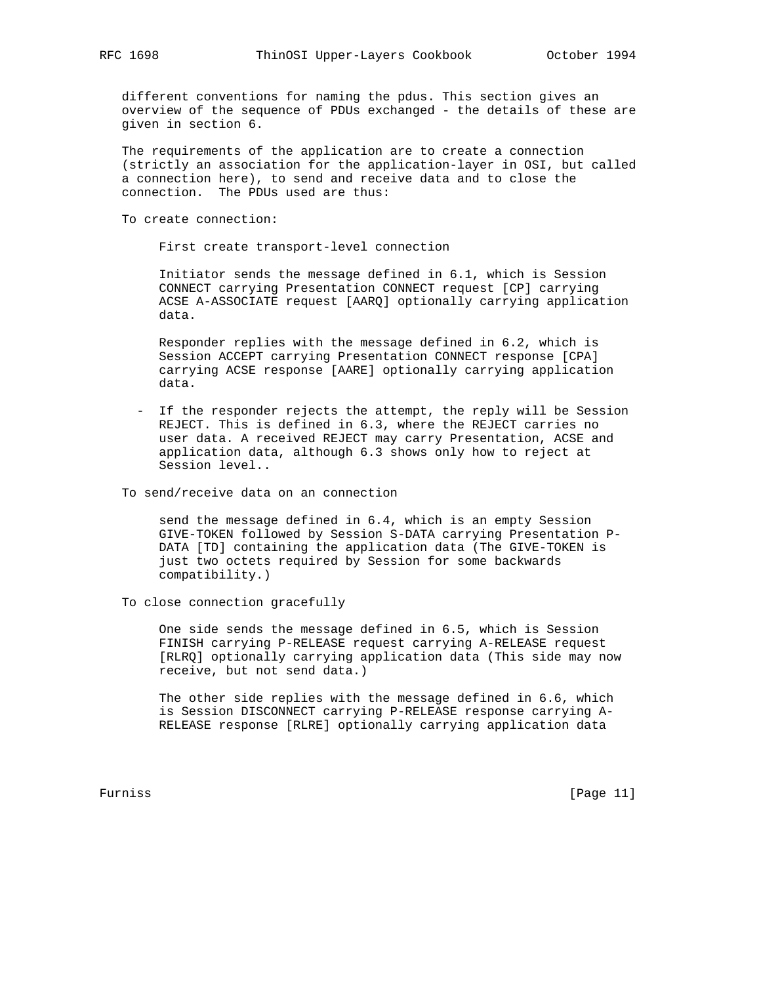different conventions for naming the pdus. This section gives an overview of the sequence of PDUs exchanged - the details of these are given in section 6.

 The requirements of the application are to create a connection (strictly an association for the application-layer in OSI, but called a connection here), to send and receive data and to close the connection. The PDUs used are thus:

To create connection:

First create transport-level connection

 Initiator sends the message defined in 6.1, which is Session CONNECT carrying Presentation CONNECT request [CP] carrying ACSE A-ASSOCIATE request [AARQ] optionally carrying application data.

 Responder replies with the message defined in 6.2, which is Session ACCEPT carrying Presentation CONNECT response [CPA] carrying ACSE response [AARE] optionally carrying application data.

 - If the responder rejects the attempt, the reply will be Session REJECT. This is defined in 6.3, where the REJECT carries no user data. A received REJECT may carry Presentation, ACSE and application data, although 6.3 shows only how to reject at Session level..

To send/receive data on an connection

 send the message defined in 6.4, which is an empty Session GIVE-TOKEN followed by Session S-DATA carrying Presentation P- DATA [TD] containing the application data (The GIVE-TOKEN is just two octets required by Session for some backwards compatibility.)

To close connection gracefully

 One side sends the message defined in 6.5, which is Session FINISH carrying P-RELEASE request carrying A-RELEASE request [RLRQ] optionally carrying application data (This side may now receive, but not send data.)

 The other side replies with the message defined in 6.6, which is Session DISCONNECT carrying P-RELEASE response carrying A- RELEASE response [RLRE] optionally carrying application data

Furniss [Page 11]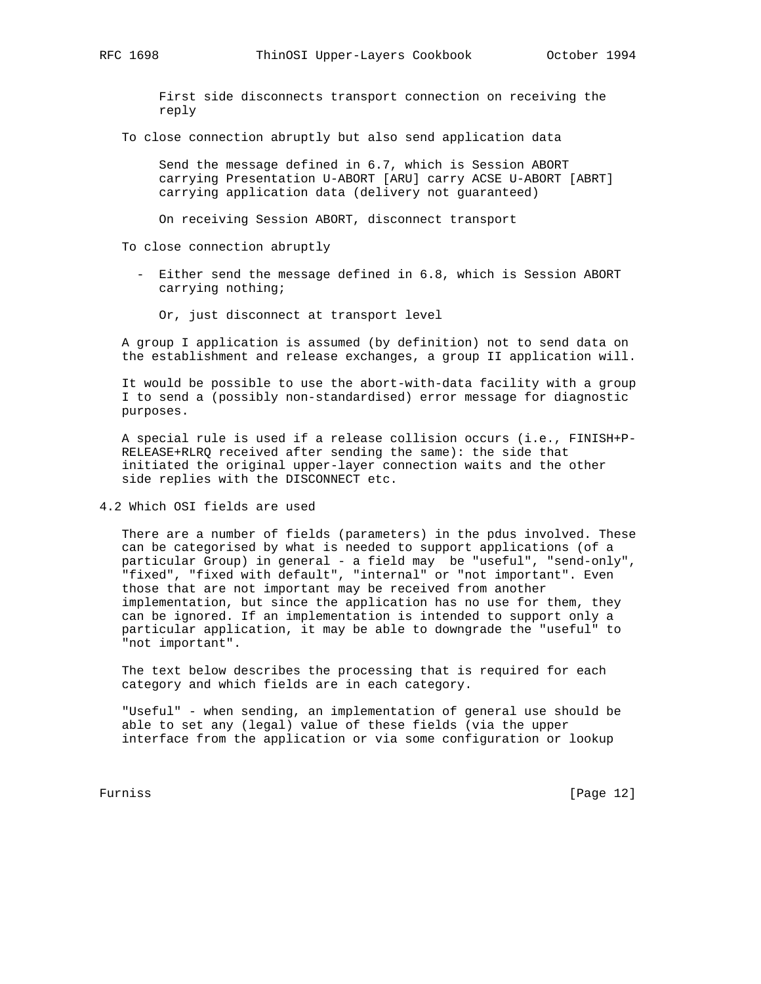First side disconnects transport connection on receiving the reply

To close connection abruptly but also send application data

 Send the message defined in 6.7, which is Session ABORT carrying Presentation U-ABORT [ARU] carry ACSE U-ABORT [ABRT] carrying application data (delivery not guaranteed)

On receiving Session ABORT, disconnect transport

To close connection abruptly

 - Either send the message defined in 6.8, which is Session ABORT carrying nothing;

Or, just disconnect at transport level

 A group I application is assumed (by definition) not to send data on the establishment and release exchanges, a group II application will.

 It would be possible to use the abort-with-data facility with a group I to send a (possibly non-standardised) error message for diagnostic purposes.

 A special rule is used if a release collision occurs (i.e., FINISH+P- RELEASE+RLRQ received after sending the same): the side that initiated the original upper-layer connection waits and the other side replies with the DISCONNECT etc.

4.2 Which OSI fields are used

 There are a number of fields (parameters) in the pdus involved. These can be categorised by what is needed to support applications (of a particular Group) in general - a field may be "useful", "send-only", "fixed", "fixed with default", "internal" or "not important". Even those that are not important may be received from another implementation, but since the application has no use for them, they can be ignored. If an implementation is intended to support only a particular application, it may be able to downgrade the "useful" to "not important".

 The text below describes the processing that is required for each category and which fields are in each category.

 "Useful" - when sending, an implementation of general use should be able to set any (legal) value of these fields (via the upper interface from the application or via some configuration or lookup

Furniss [Page 12]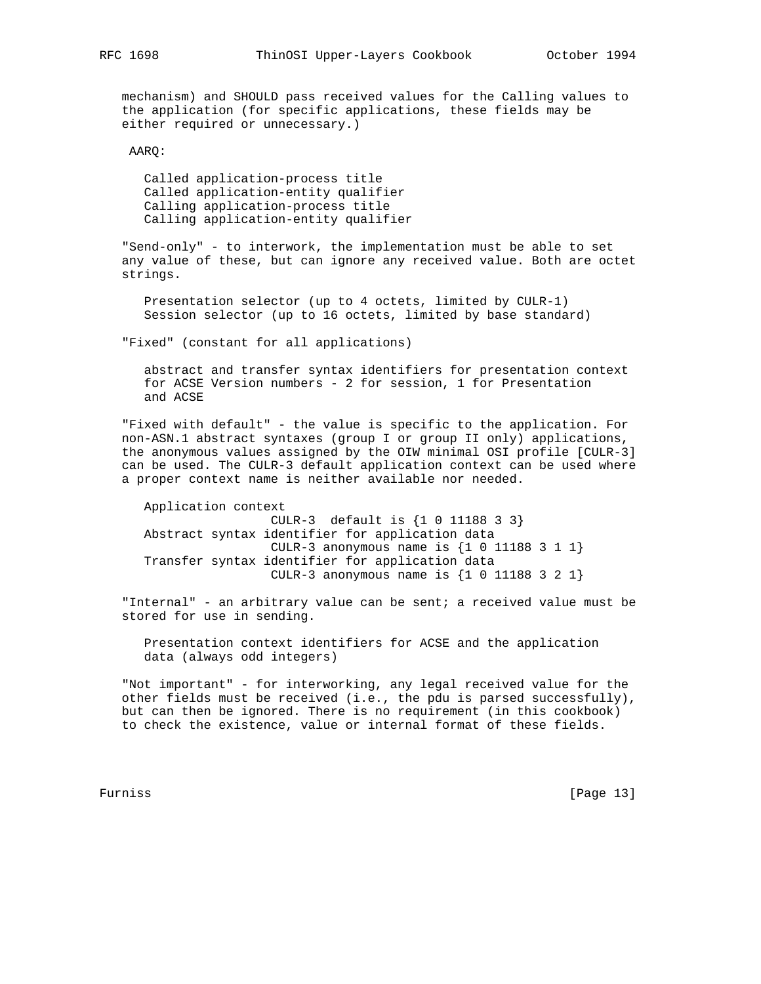mechanism) and SHOULD pass received values for the Calling values to the application (for specific applications, these fields may be either required or unnecessary.)

AARQ:

 Called application-process title Called application-entity qualifier Calling application-process title Calling application-entity qualifier

 "Send-only" - to interwork, the implementation must be able to set any value of these, but can ignore any received value. Both are octet strings.

 Presentation selector (up to 4 octets, limited by CULR-1) Session selector (up to 16 octets, limited by base standard)

"Fixed" (constant for all applications)

 abstract and transfer syntax identifiers for presentation context for ACSE Version numbers - 2 for session, 1 for Presentation and ACSE

 "Fixed with default" - the value is specific to the application. For non-ASN.1 abstract syntaxes (group I or group II only) applications, the anonymous values assigned by the OIW minimal OSI profile [CULR-3] can be used. The CULR-3 default application context can be used where a proper context name is neither available nor needed.

 Application context CULR-3 default is {1 0 11188 3 3} Abstract syntax identifier for application data CULR-3 anonymous name is  $\{1\ 0\ 11188\ 3\ 1\ 1\}$  Transfer syntax identifier for application data CULR-3 anonymous name is {1 0 11188 3 2 1}

 "Internal" - an arbitrary value can be sent; a received value must be stored for use in sending.

 Presentation context identifiers for ACSE and the application data (always odd integers)

 "Not important" - for interworking, any legal received value for the other fields must be received (i.e., the pdu is parsed successfully), but can then be ignored. There is no requirement (in this cookbook) to check the existence, value or internal format of these fields.

Furniss [Page 13]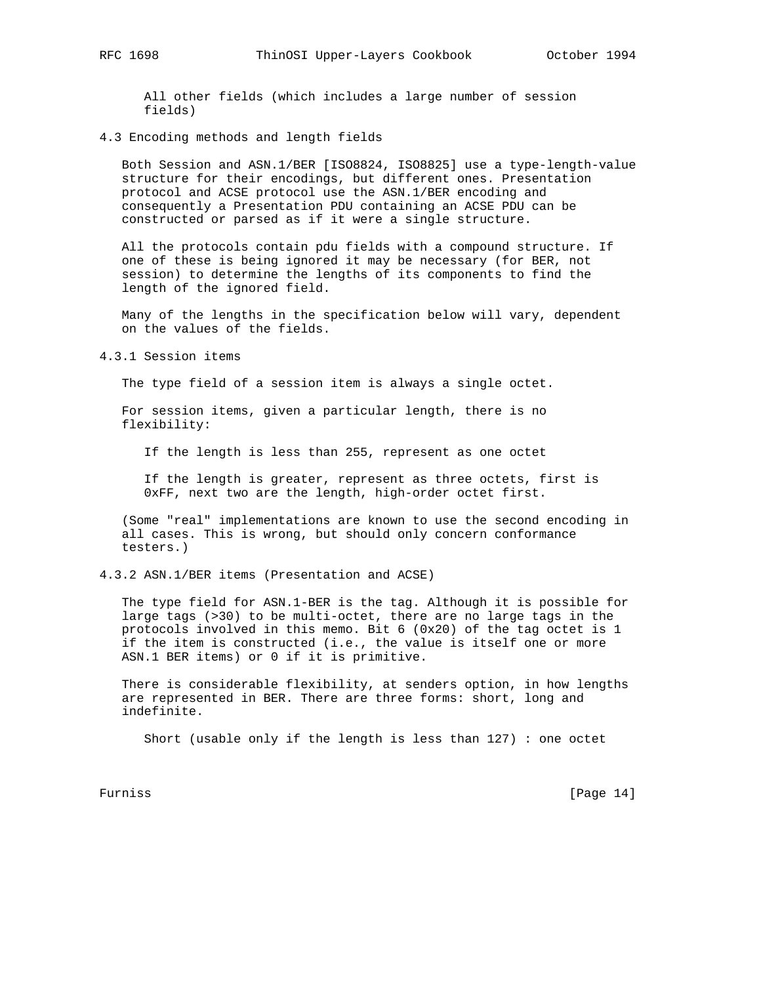All other fields (which includes a large number of session fields)

# 4.3 Encoding methods and length fields

 Both Session and ASN.1/BER [ISO8824, ISO8825] use a type-length-value structure for their encodings, but different ones. Presentation protocol and ACSE protocol use the ASN.1/BER encoding and consequently a Presentation PDU containing an ACSE PDU can be constructed or parsed as if it were a single structure.

 All the protocols contain pdu fields with a compound structure. If one of these is being ignored it may be necessary (for BER, not session) to determine the lengths of its components to find the length of the ignored field.

 Many of the lengths in the specification below will vary, dependent on the values of the fields.

4.3.1 Session items

The type field of a session item is always a single octet.

 For session items, given a particular length, there is no flexibility:

If the length is less than 255, represent as one octet

 If the length is greater, represent as three octets, first is 0xFF, next two are the length, high-order octet first.

 (Some "real" implementations are known to use the second encoding in all cases. This is wrong, but should only concern conformance testers.)

4.3.2 ASN.1/BER items (Presentation and ACSE)

 The type field for ASN.1-BER is the tag. Although it is possible for large tags (>30) to be multi-octet, there are no large tags in the protocols involved in this memo. Bit 6 (0x20) of the tag octet is 1 if the item is constructed (i.e., the value is itself one or more ASN.1 BER items) or 0 if it is primitive.

 There is considerable flexibility, at senders option, in how lengths are represented in BER. There are three forms: short, long and indefinite.

Short (usable only if the length is less than 127) : one octet

Furniss [Page 14]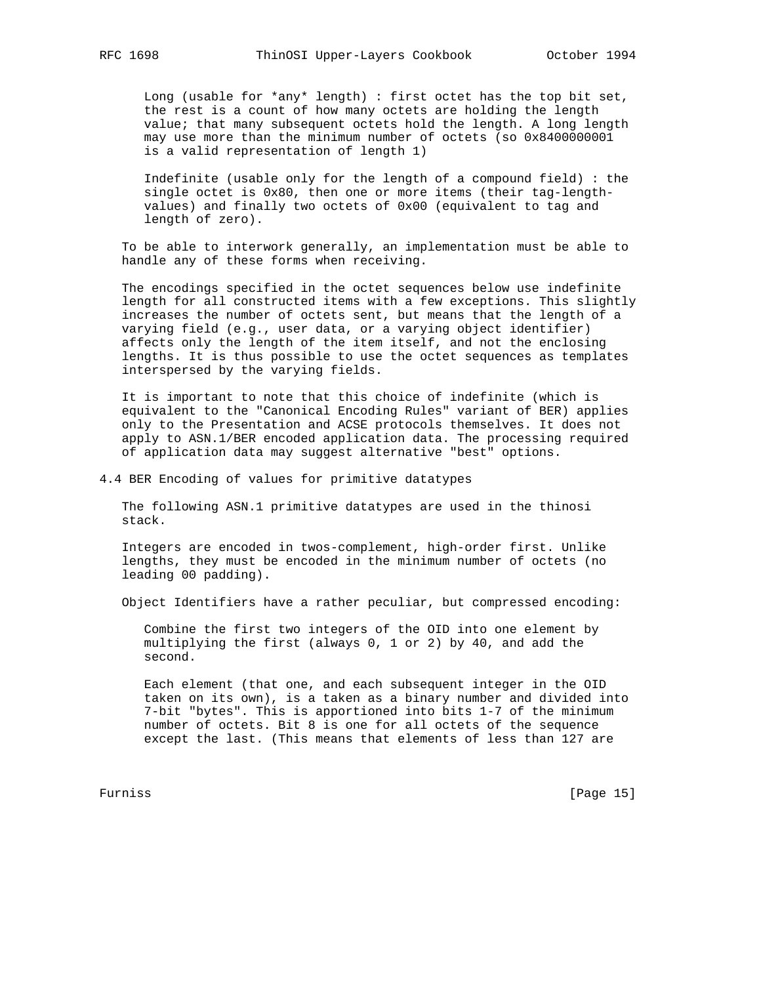Long (usable for \*any\* length) : first octet has the top bit set, the rest is a count of how many octets are holding the length value; that many subsequent octets hold the length. A long length may use more than the minimum number of octets (so 0x8400000001 is a valid representation of length 1)

 Indefinite (usable only for the length of a compound field) : the single octet is 0x80, then one or more items (their tag-length values) and finally two octets of 0x00 (equivalent to tag and length of zero).

 To be able to interwork generally, an implementation must be able to handle any of these forms when receiving.

 The encodings specified in the octet sequences below use indefinite length for all constructed items with a few exceptions. This slightly increases the number of octets sent, but means that the length of a varying field (e.g., user data, or a varying object identifier) affects only the length of the item itself, and not the enclosing lengths. It is thus possible to use the octet sequences as templates interspersed by the varying fields.

 It is important to note that this choice of indefinite (which is equivalent to the "Canonical Encoding Rules" variant of BER) applies only to the Presentation and ACSE protocols themselves. It does not apply to ASN.1/BER encoded application data. The processing required of application data may suggest alternative "best" options.

4.4 BER Encoding of values for primitive datatypes

 The following ASN.1 primitive datatypes are used in the thinosi stack.

 Integers are encoded in twos-complement, high-order first. Unlike lengths, they must be encoded in the minimum number of octets (no leading 00 padding).

Object Identifiers have a rather peculiar, but compressed encoding:

 Combine the first two integers of the OID into one element by multiplying the first (always 0, 1 or 2) by 40, and add the second.

 Each element (that one, and each subsequent integer in the OID taken on its own), is a taken as a binary number and divided into 7-bit "bytes". This is apportioned into bits 1-7 of the minimum number of octets. Bit 8 is one for all octets of the sequence except the last. (This means that elements of less than 127 are

Furniss [Page 15]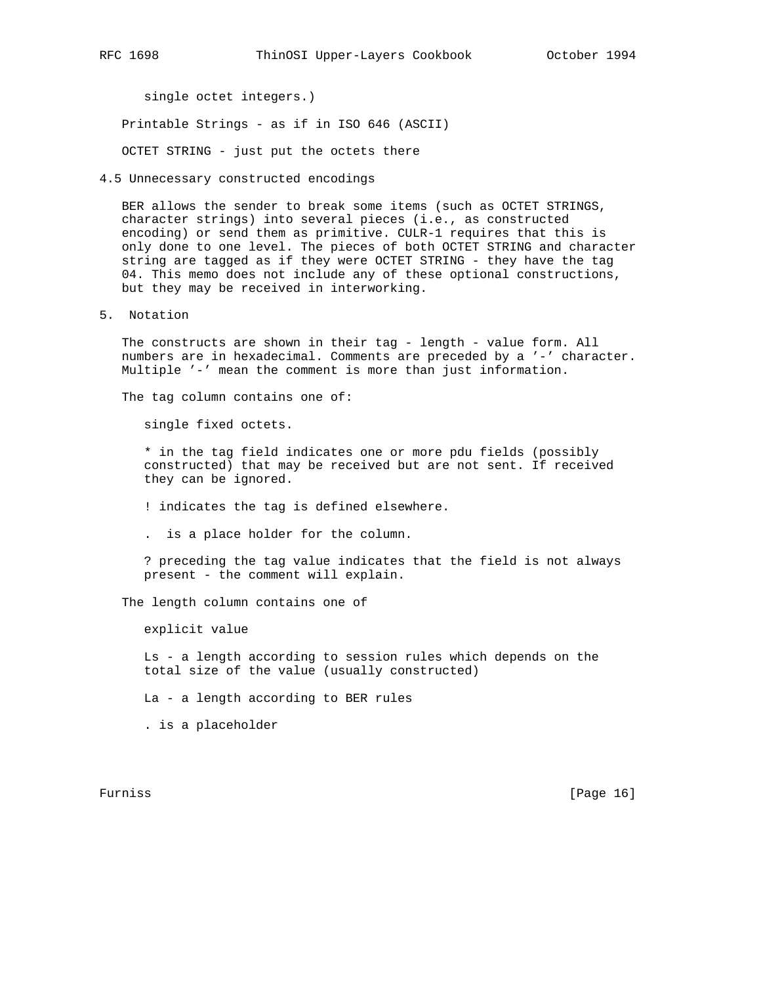single octet integers.)

Printable Strings - as if in ISO 646 (ASCII)

OCTET STRING - just put the octets there

4.5 Unnecessary constructed encodings

 BER allows the sender to break some items (such as OCTET STRINGS, character strings) into several pieces (i.e., as constructed encoding) or send them as primitive. CULR-1 requires that this is only done to one level. The pieces of both OCTET STRING and character string are tagged as if they were OCTET STRING - they have the tag 04. This memo does not include any of these optional constructions, but they may be received in interworking.

5. Notation

 The constructs are shown in their tag - length - value form. All numbers are in hexadecimal. Comments are preceded by a '-' character. Multiple '-' mean the comment is more than just information.

The tag column contains one of:

single fixed octets.

 \* in the tag field indicates one or more pdu fields (possibly constructed) that may be received but are not sent. If received they can be ignored.

! indicates the tag is defined elsewhere.

. is a place holder for the column.

 ? preceding the tag value indicates that the field is not always present - the comment will explain.

The length column contains one of

explicit value

 Ls - a length according to session rules which depends on the total size of the value (usually constructed)

La - a length according to BER rules

. is a placeholder

Furniss [Page 16]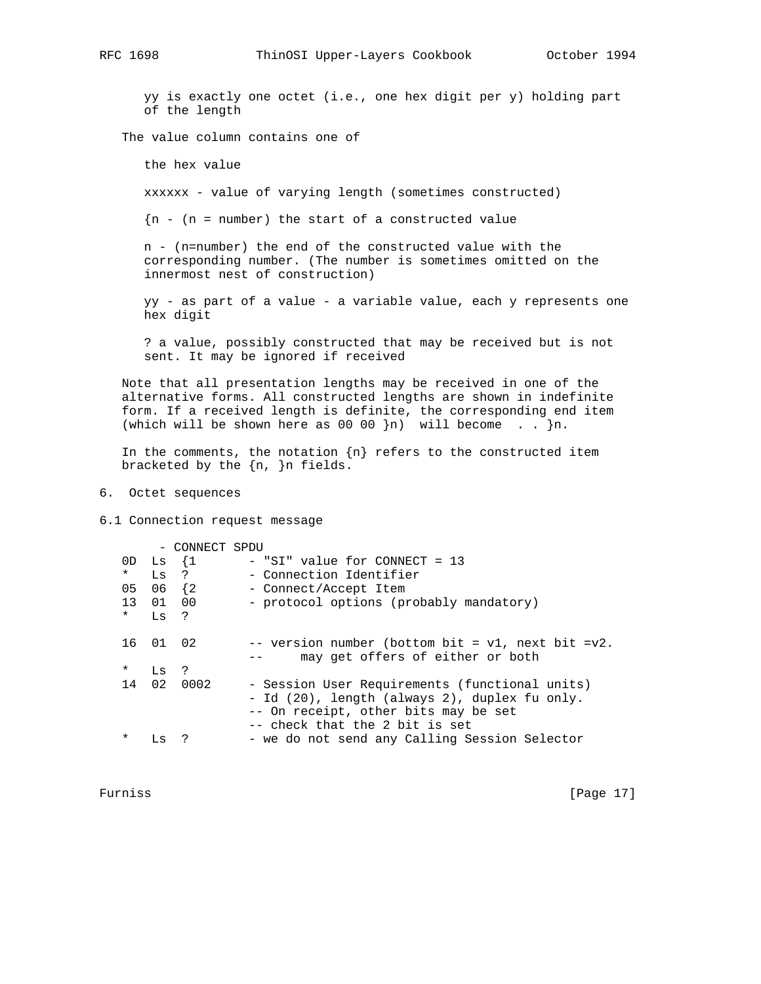yy is exactly one octet (i.e., one hex digit per y) holding part of the length

The value column contains one of

the hex value

xxxxxx - value of varying length (sometimes constructed)

 ${n - (n = number)}$  the start of a constructed value

 n - (n=number) the end of the constructed value with the corresponding number. (The number is sometimes omitted on the innermost nest of construction)

 yy - as part of a value - a variable value, each y represents one hex digit

 ? a value, possibly constructed that may be received but is not sent. It may be ignored if received

 Note that all presentation lengths may be received in one of the alternative forms. All constructed lengths are shown in indefinite form. If a received length is definite, the corresponding end item (which will be shown here as 00 00  $n$ ) will become . .  $n$ .

In the comments, the notation  $\{n\}$  refers to the constructed item bracketed by the {n, }n fields.

6. Octet sequences

6.1 Connection request message

| $\star$<br>05<br>$\star$ | $OD$ Ls $\{1$<br>$Ls$ ?<br>06 {2<br>13 01 00<br>Ls ? | - CONNECT SPDU | $-$ "SI" value for CONNECT = 13<br>- Connection Identifier<br>- Connect/Accept Item<br>- protocol options (probably mandatory)                                            |
|--------------------------|------------------------------------------------------|----------------|---------------------------------------------------------------------------------------------------------------------------------------------------------------------------|
|                          | 16 01 02                                             |                | -- version number (bottom bit = v1, next bit =v2.<br>may get offers of either or both                                                                                     |
| $\star$                  | Ls                                                   | $\cdot$ ?      |                                                                                                                                                                           |
| 14                       |                                                      | 02 0002        | - Session User Requirements (functional units)<br>- Id (20), length (always 2), duplex fu only.<br>-- On receipt, other bits may be set<br>-- check that the 2 bit is set |
| $\star$                  | LS                                                   |                | - we do not send any Calling Session Selector                                                                                                                             |

Furniss [Page 17]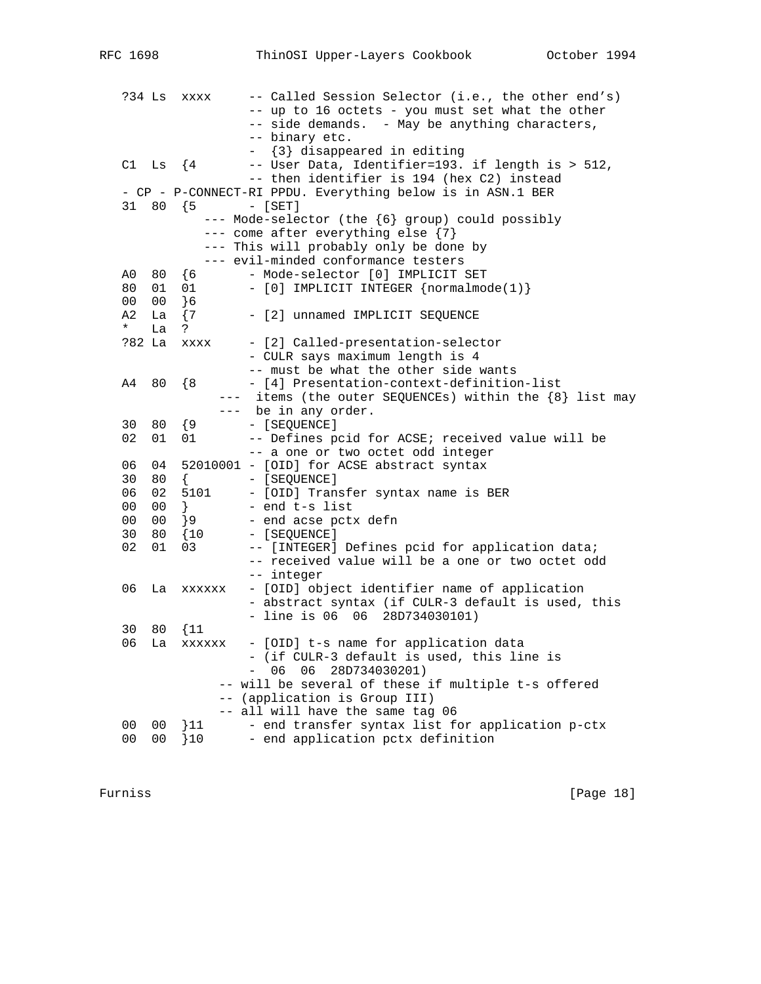| ?34 Ls         |                | XXXX           | -- Called Session Selector (i.e., the other end's)         |
|----------------|----------------|----------------|------------------------------------------------------------|
|                |                |                | -- up to 16 octets - you must set what the other           |
|                |                |                | -- side demands. - May be anything characters,             |
|                |                |                | -- binary etc.                                             |
|                |                |                | - {3} disappeared in editing                               |
|                | C1 Ls $\{4$    |                | -- User Data, Identifier=193. if length is > 512,          |
|                |                |                | -- then identifier is 194 (hex C2) instead                 |
|                |                |                | - CP - P-CONNECT-RI PPDU. Everything below is in ASN.1 BER |
|                | $31 80$ {5     |                | $-$ [SET]                                                  |
|                |                |                | --- Mode-selector (the {6} group) could possibly           |
|                |                |                | --- come after everything else {7}                         |
|                |                |                | --- This will probably only be done by                     |
|                |                |                | --- evil-minded conformance testers                        |
| A0             |                | 80 {6          | - Mode-selector [0] IMPLICIT SET                           |
| 80             |                | 01 01          | - [0] IMPLICIT INTEGER {normalmode(1)}                     |
| 00             | 00             | <sup>1</sup> 6 |                                                            |
| A2             | La             | $\{7\}$        | - [2] unnamed IMPLICIT SEQUENCE                            |
| $\star$        | La             | ?              |                                                            |
| ?82 La         |                | XXXX           | - [2] Called-presentation-selector                         |
|                |                |                | - CULR says maximum length is 4                            |
|                |                |                | -- must be what the other side wants                       |
| A4             | 80             | $\{8\}$        | - [4] Presentation-context-definition-list                 |
|                |                |                | --- items (the outer SEQUENCEs) within the {8} list may    |
|                |                |                | --- be in any order.                                       |
| 30             | 80             | { 9            | - [SEQUENCE]                                               |
| 02             | 01             | 01             | -- Defines pcid for ACSE; received value will be           |
|                |                |                | -- a one or two octet odd integer                          |
| 06             | 04             |                | 52010001 - [OID] for ACSE abstract syntax                  |
| 30             | 80             | $\{$           | - [SEQUENCE]                                               |
| 06             | 02             | 5101           | - [OID] Transfer syntax name is BER                        |
| 00             | 00             | $\}$           | - end t-s list                                             |
| 00             | 00             | $\}9$          | - end acse pctx defn                                       |
| 30             | 80             | $\{10$         | - [SEQUENCE]                                               |
| 02             | 01             | 03             | -- [INTEGER] Defines pcid for application data;            |
|                |                |                | -- received value will be a one or two octet odd           |
|                |                |                | -- integer                                                 |
| 06             |                | La xxxxxx      | - [OID] object identifier name of application              |
|                |                |                | - abstract syntax (if CULR-3 default is used, this         |
|                |                |                | $-$ line is 06 06 28D734030101)                            |
| 30             | 80             | $\{11$         |                                                            |
| 06             | La             | XXXXXX         | - [OID] t-s name for application data                      |
|                |                |                | - (if CULR-3 default is used, this line is                 |
|                |                |                | 06 28D734030201)<br>06                                     |
|                |                |                | will be several of these if multiple t-s offered           |
|                |                |                | -- (application is Group III)                              |
|                |                |                | -- all will have the same tag 06                           |
| 0 <sub>0</sub> | 0 <sub>0</sub> | 311            | - end transfer syntax list for application p-ctx           |
| 0 <sub>0</sub> | 00             | 10             | - end application pctx definition                          |
|                |                |                |                                                            |

Furniss [Page 18]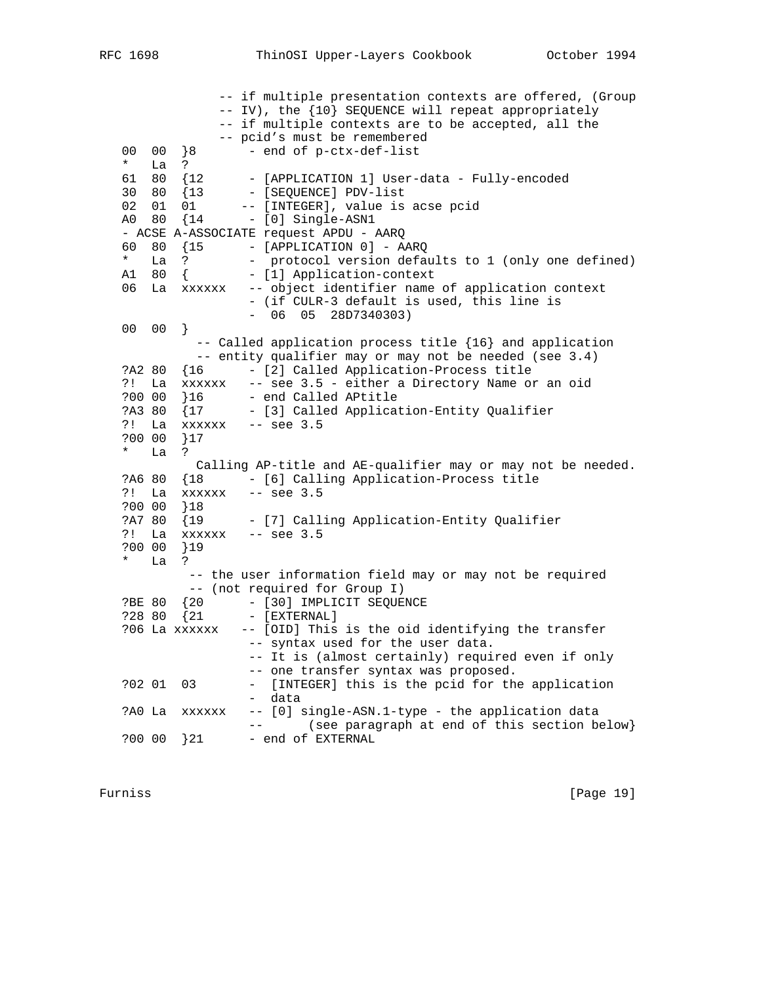-- if multiple presentation contexts are offered, (Group -- IV), the {10} SEQUENCE will repeat appropriately -- if multiple contexts are to be accepted, all the -- pcid's must be remembered 00 00 }8 - end of p-ctx-def-list \* La ? 61 80 {12 - [APPLICATION 1] User-data - Fully-encoded 30 80 {13 - [SEQUENCE] PDV-list 02 01 01 -- [INTEGER], value is acse pcid A0 80 {14 - [0] Single-ASN1 - ACSE A-ASSOCIATE request APDU - AARQ 60 80 {15 - [APPLICATION 0] - AARQ \* La ? - protocol version defaults to 1 (only one defined) A1 80 { - [1] Application-context 06 La xxxxxx -- object identifier name of application context - (if CULR-3 default is used, this line is - 06 05 28D7340303) 00 00 } -- Called application process title {16} and application -- entity qualifier may or may not be needed (see 3.4) ?A2 80 {16 - [2] Called Application-Process title ?! La xxxxxx -- see 3.5 - either a Directory Name or an oid ?00 00 }16 - end Called APtitle ?A3 80 {17 - [3] Called Application-Entity Qualifier ?! La xxxxxx -- see 3.5 ?00 00 }17 \* La ? Calling AP-title and AE-qualifier may or may not be needed. ?A6 80 {18 - [6] Calling Application-Process title ?! La xxxxxx -- see 3.5 ?00 00 }18 ?A7 80 {19 - [7] Calling Application-Entity Qualifier ?! La xxxxxx -- see 3.5 ?00 00 }19 \* La ? -- the user information field may or may not be required -- (not required for Group I) ?BE 80 {20 - [30] IMPLICIT SEQUENCE ?28 80 {21 - [EXTERNAL] ?06 La xxxxxx -- [OID] This is the oid identifying the transfer -- syntax used for the user data. -- It is (almost certainly) required even if only -- one transfer syntax was proposed. ?02 01 03 - [INTEGER] this is the pcid for the application - data ?A0 La xxxxxx -- [0] single-ASN.1-type - the application data -- (see paragraph at end of this section below} ?00 00 }21 - end of EXTERNAL

Furniss [Page 19]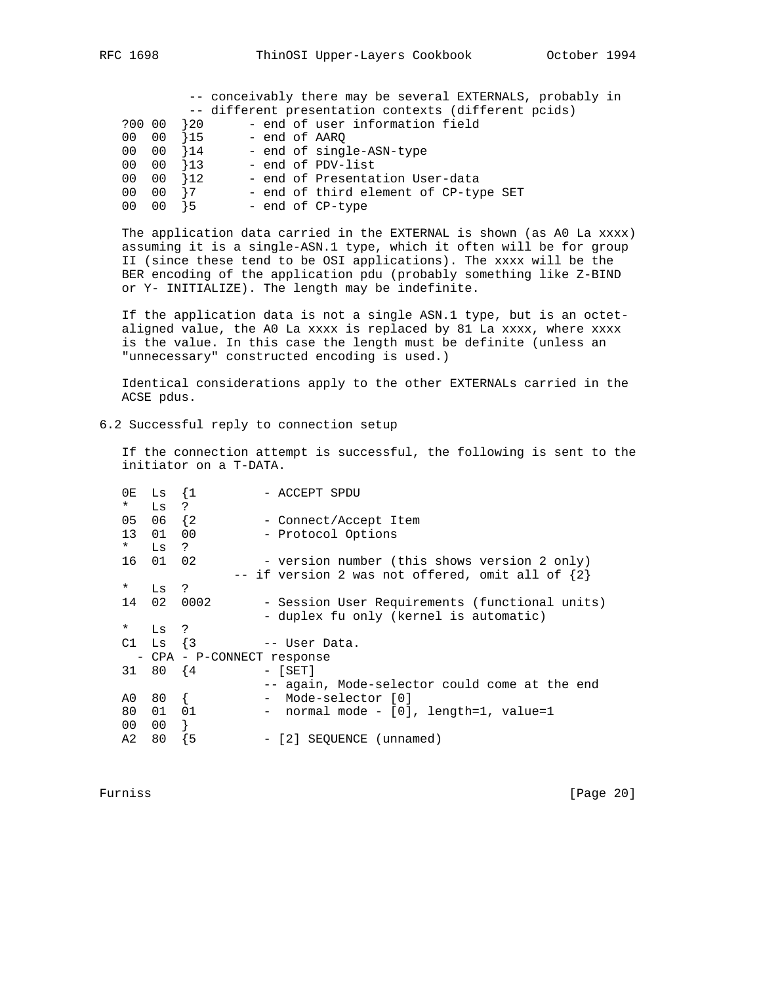|        |    |               |  | -- conceivably there may be several EXTERNALS, probably in |
|--------|----|---------------|--|------------------------------------------------------------|
|        |    |               |  | -- different presentation contexts (different pcids)       |
| ?00 00 |    | <sup>20</sup> |  | - end of user information field                            |
| 00 00  |    | }15           |  | – end of AARO                                              |
| 00 00  |    | $\{14$        |  | - end of single-ASN-type                                   |
| 00 00  |    | $\{13$        |  | - end of PDV-list                                          |
| 00 00  |    | $\{12\}$      |  | - end of Presentation User-data                            |
| 00 00  |    | $\frac{1}{7}$ |  | - end of third element of CP-type SET                      |
| 00     | 00 | $\frac{1}{2}$ |  | - end of CP-type                                           |
|        |    |               |  |                                                            |

 The application data carried in the EXTERNAL is shown (as A0 La xxxx) assuming it is a single-ASN.1 type, which it often will be for group II (since these tend to be OSI applications). The xxxx will be the BER encoding of the application pdu (probably something like Z-BIND or Y- INITIALIZE). The length may be indefinite.

 If the application data is not a single ASN.1 type, but is an octet aligned value, the A0 La xxxx is replaced by 81 La xxxx, where xxxx is the value. In this case the length must be definite (unless an "unnecessary" constructed encoding is used.)

 Identical considerations apply to the other EXTERNALs carried in the ACSE pdus.

6.2 Successful reply to connection setup

 If the connection attempt is successful, the following is sent to the initiator on a T-DATA.

| 0E     | Ls             | $\{1$                      | - ACCEPT SPDU                                        |
|--------|----------------|----------------------------|------------------------------------------------------|
| $\ast$ | Ls ?           |                            |                                                      |
| 05     | $06 \quad \{2$ |                            | - Connect/Accept Item                                |
| 13     | 01             | 00                         | - Protocol Options                                   |
| $\ast$ | Ls             | $\cdot$ ?                  |                                                      |
| 16     | 01 02          |                            | - version number (this shows version 2 only)         |
|        |                |                            | -- if version 2 was not offered, omit all of $\{2\}$ |
| $\ast$ | Ls             | ?                          |                                                      |
| 14     | 02             | 0002                       | - Session User Requirements (functional units)       |
|        |                |                            | - duplex fu only (kernel is automatic)               |
| $\ast$ | Ls ?           |                            |                                                      |
|        | C1 Ls $\{3\}$  |                            | -- User Data.                                        |
|        |                | - CPA - P-CONNECT response |                                                      |
| 31     | 80 {4          |                            | $-$ [SET]                                            |
|        |                |                            | -- again, Mode-selector could come at the end        |
| A0     | 80             | $\left\{ \right.$          | Mode-selector [0]                                    |
| 80     | 01             | 01                         | - normal mode - [0], length=1, value=1               |
| 00     | 00             | Ł                          |                                                      |
| A2     | 80             | -5                         | - [2] SEOUENCE (unnamed)                             |

Furniss [Page 20]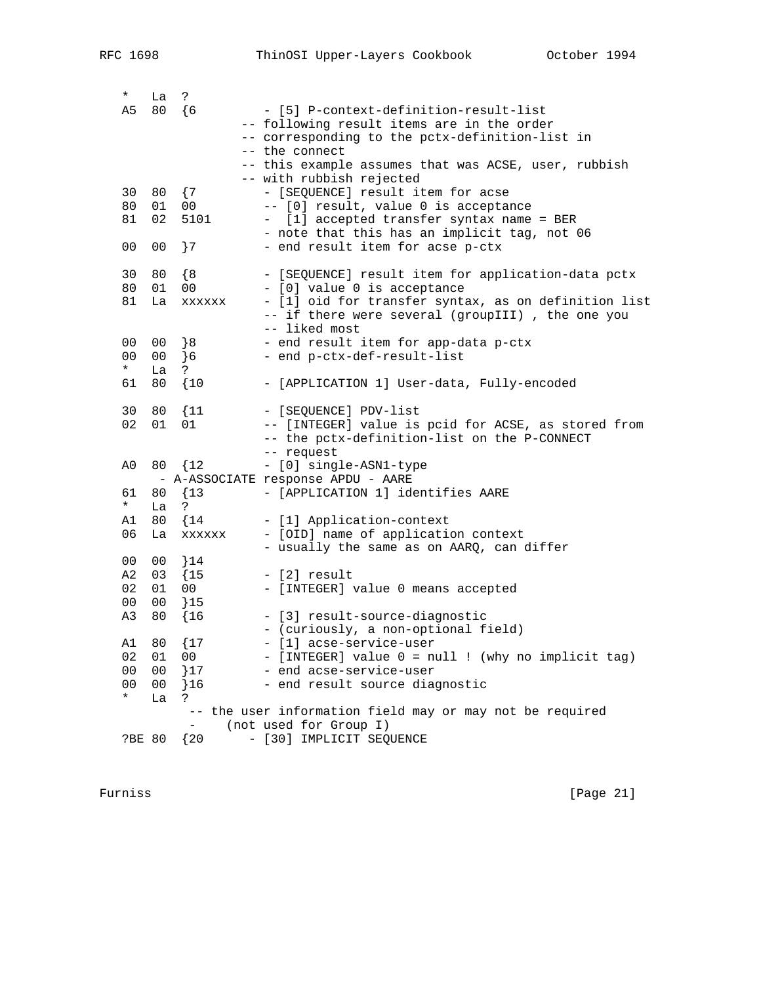| $\star$<br>A5  | La<br>80       | S.<br>$\{6$            | - [5] P-context-definition-result-list                                            |
|----------------|----------------|------------------------|-----------------------------------------------------------------------------------|
|                |                |                        | -- following result items are in the order                                        |
|                |                |                        | -- corresponding to the pctx-definition-list in                                   |
|                |                |                        | -- the connect                                                                    |
|                |                |                        | -- this example assumes that was ACSE, user, rubbish                              |
|                |                |                        | -- with rubbish rejected                                                          |
| 30             | 80             | $\{7$                  | - [SEQUENCE] result item for acse                                                 |
| 80<br>81       | 01<br>02       | 0 <sub>0</sub><br>5101 | -- [0] result, value 0 is acceptance<br>- [1] accepted transfer syntax name = BER |
|                |                |                        | - note that this has an implicit tag, not 06                                      |
| 0 <sub>0</sub> | 0 <sub>0</sub> | ${7}$                  | - end result item for acse p-ctx                                                  |
|                |                |                        |                                                                                   |
| 30             | 80             | $\{8$                  | - [SEQUENCE] result item for application-data pctx                                |
| 80             | 01             | 0 <sub>0</sub>         | - [0] value 0 is acceptance                                                       |
| 81             | La             | XXXXXX                 | - [1] oid for transfer syntax, as on definition list                              |
|                |                |                        | -- if there were several (groupIII), the one you<br>-- liked most                 |
| 0 <sub>0</sub> | 00             | 8                      | - end result item for app-data p-ctx                                              |
| 0 <sub>0</sub> | 0 <sub>0</sub> | 6                      | - end p-ctx-def-result-list                                                       |
| $\star$        | La             | ?                      |                                                                                   |
| 61             | 80             | $\{10$                 | - [APPLICATION 1] User-data, Fully-encoded                                        |
| 30             | 80             | $\{11$                 | - [SEQUENCE] PDV-list                                                             |
| 02             | 01             | 01                     | -- [INTEGER] value is pcid for ACSE, as stored from                               |
|                |                |                        | -- the pctx-definition-list on the P-CONNECT                                      |
|                |                |                        | -- request                                                                        |
| A0             |                | 80 {12                 | - [0] single-ASN1-type                                                            |
| 61             | 80             | ${13}$                 | - A-ASSOCIATE response APDU - AARE<br>- [APPLICATION 1] identifies AARE           |
| $\star$        | La             | ?                      |                                                                                   |
| A1             | 80             | $\{14$                 | - [1] Application-context                                                         |
| 06             | La             | XXXXXX                 | - [OID] name of application context                                               |
|                |                |                        | - usually the same as on AARQ, can differ                                         |
| 00             | 00             | $\}$ 14                |                                                                                   |
| A2<br>02       | 03<br>01       | $\{15$                 | - [2] result                                                                      |
| 0 <sub>0</sub> | 0 <sub>0</sub> | 00<br>315              | - [INTEGER] value 0 means accepted                                                |
| A3             | 80             | $\{16$                 | - [3] result-source-diagnostic                                                    |
|                |                |                        | - (curiously, a non-optional field)                                               |
|                | A1 80          | $\{17$                 | - [1] acse-service-user                                                           |
| 02             | 01             | 00                     | - [INTEGER] value 0 = null ! (why no implicit tag)                                |
| 0 <sub>0</sub> | 0 <sub>0</sub> | $\{17$                 | - end acse-service-user                                                           |
| 0 <sub>0</sub> | 0 <sub>0</sub> | 316                    | - end result source diagnostic                                                    |
| $\star$        | La             | ?                      | -- the user information field may or may not be required                          |
|                |                |                        | (not used for Group I)                                                            |
| ?BE 80         |                | { 20                   | - [30] IMPLICIT SEQUENCE                                                          |
|                |                |                        |                                                                                   |

Furniss [Page 21]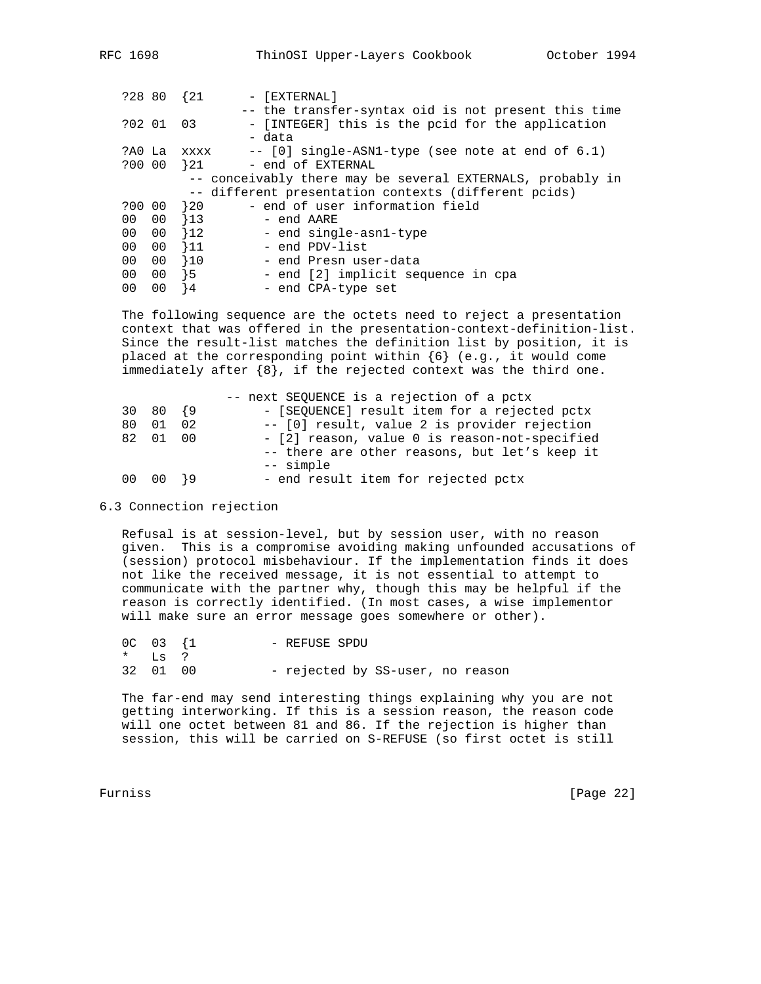| ?28 80          |           | $\{21$           | - [EXTERNAL]                                               |
|-----------------|-----------|------------------|------------------------------------------------------------|
|                 |           |                  | -- the transfer-syntax oid is not present this time        |
|                 | ?02 01 03 |                  | - [INTEGER] this is the pcid for the application           |
|                 |           |                  | - data                                                     |
| ?AO La          |           | <b>XXXX</b>      | $- -$ [0] single-ASN1-type (see note at end of 6.1)        |
| ?00 00          |           | $\rightarrow$ 21 | - end of EXTERNAL                                          |
|                 |           |                  | -- conceivably there may be several EXTERNALS, probably in |
|                 |           |                  | -- different presentation contexts (different pcids)       |
| ?00 00          |           | $\frac{1}{20}$   | - end of user information field                            |
| 00 00           |           | $\{13$           | - end AARE                                                 |
| 00 <sub>0</sub> | - 00      | 12               | - end single-asn1-type                                     |
| 00              | - 00      | }11              | - end PDV-list                                             |
| 00              | 00        | 10               | - end Presn user-data                                      |
| 00              | - 00      | $\overline{5}$   | - end [2] implicit sequence in cpa                         |
| 00              | 00        | ł 4              | - end CPA-type set                                         |
|                 |           |                  |                                                            |

 The following sequence are the octets need to reject a presentation context that was offered in the presentation-context-definition-list. Since the result-list matches the definition list by position, it is placed at the corresponding point within  $\{6\}$  (e.g., it would come immediately after  $\{8\}$ , if the rejected context was the third one.

|             |    | -- next SEQUENCE is a rejection of a pctx     |
|-------------|----|-----------------------------------------------|
| $30\ 80\{9$ |    | - [SEQUENCE] result item for a rejected pctx  |
| 80 01       | 02 | -- [0] result, value 2 is provider rejection  |
| 82 01 00    |    | - [2] reason, value 0 is reason-not-specified |
|             |    | -- there are other reasons, but let's keep it |
|             |    | -- simple                                     |
| $0000$ $19$ |    | - end result item for rejected pctx           |

#### 6.3 Connection rejection

 Refusal is at session-level, but by session user, with no reason given. This is a compromise avoiding making unfounded accusations of (session) protocol misbehaviour. If the implementation finds it does not like the received message, it is not essential to attempt to communicate with the partner why, though this may be helpful if the reason is correctly identified. (In most cases, a wise implementor will make sure an error message goes somewhere or other).

|            | $0C$ $03$ $\{1$ |  | - REFUSE SPDU |                                  |  |
|------------|-----------------|--|---------------|----------------------------------|--|
| $*$ T.S. ? |                 |  |               |                                  |  |
|            | 32 01 00        |  |               | - rejected by SS-user, no reason |  |

 The far-end may send interesting things explaining why you are not getting interworking. If this is a session reason, the reason code will one octet between 81 and 86. If the rejection is higher than session, this will be carried on S-REFUSE (so first octet is still

Furniss [Page 22]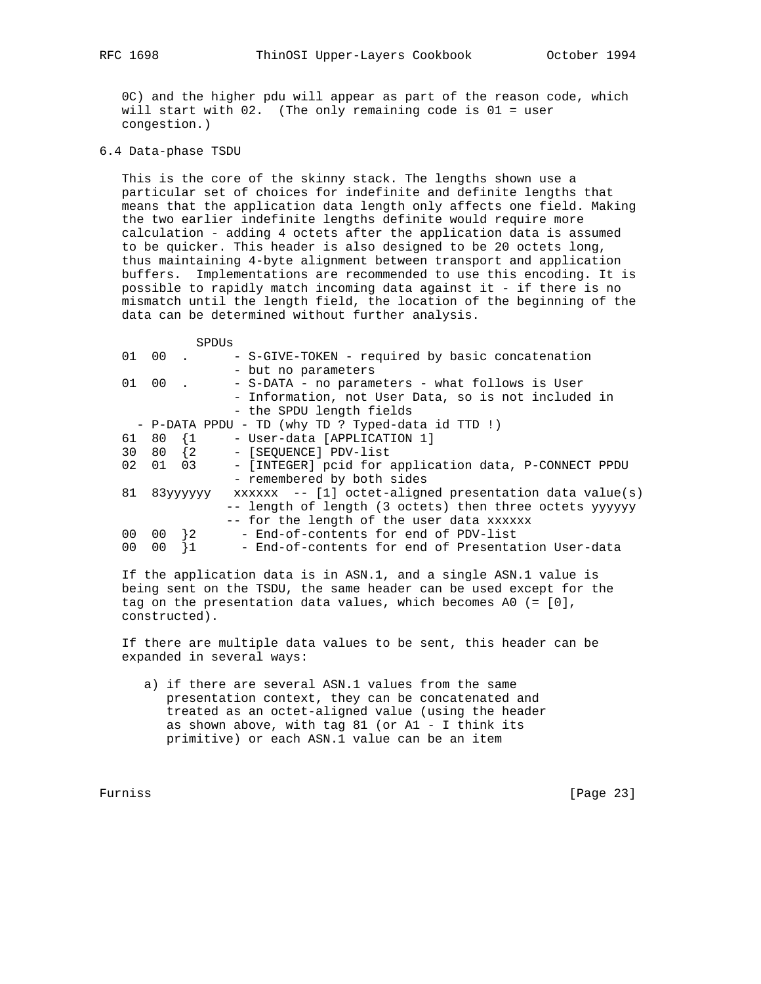0C) and the higher pdu will appear as part of the reason code, which will start with 02. (The only remaining code is 01 = user congestion.)

6.4 Data-phase TSDU

 This is the core of the skinny stack. The lengths shown use a particular set of choices for indefinite and definite lengths that means that the application data length only affects one field. Making the two earlier indefinite lengths definite would require more calculation - adding 4 octets after the application data is assumed to be quicker. This header is also designed to be 20 octets long, thus maintaining 4-byte alignment between transport and application buffers. Implementations are recommended to use this encoding. It is possible to rapidly match incoming data against it - if there is no mismatch until the length field, the location of the beginning of the data can be determined without further analysis.

|    | $0100$ .        |             | - S-GIVE-TOKEN - required by basic concatenation         |
|----|-----------------|-------------|----------------------------------------------------------|
|    |                 |             | - but no parameters                                      |
|    | 01 00 .         |             | - S-DATA - no parameters - what follows is User          |
|    |                 |             | - Information, not User Data, so is not included in      |
|    |                 |             | - the SPDU length fields                                 |
|    |                 |             | - P-DATA PPDU - TD (why TD ? Typed-data id TTD !)        |
|    | 61 80 1         |             | - User-data [APPLICATION 1]                              |
|    |                 | 30 80 {2    | - [SEOUENCE] PDV-list                                    |
| 02 | 01 03           |             | - [INTEGER] pcid for application data, P-CONNECT PPDU    |
|    |                 |             | - remembered by both sides                               |
|    |                 | 81 83yyyyyy | $xxxxx = - [1] octet-aligned presentation data value(s)$ |
|    |                 |             | -- length of length (3 octets) then three octets yyyyyy  |
|    |                 |             | -- for the length of the user data xxxxxx                |
|    | $00 \t 00 \t 2$ |             | - End-of-contents for end of PDV-list                    |
| 00 | 00              |             | - End-of-contents for end of Presentation User-data      |
|    |                 |             |                                                          |

 If the application data is in ASN.1, and a single ASN.1 value is being sent on the TSDU, the same header can be used except for the tag on the presentation data values, which becomes A0 (= [0], constructed).

 If there are multiple data values to be sent, this header can be expanded in several ways:

 a) if there are several ASN.1 values from the same presentation context, they can be concatenated and treated as an octet-aligned value (using the header as shown above, with tag 81 (or  $AI - I$  think its primitive) or each ASN.1 value can be an item

Furniss [Page 23]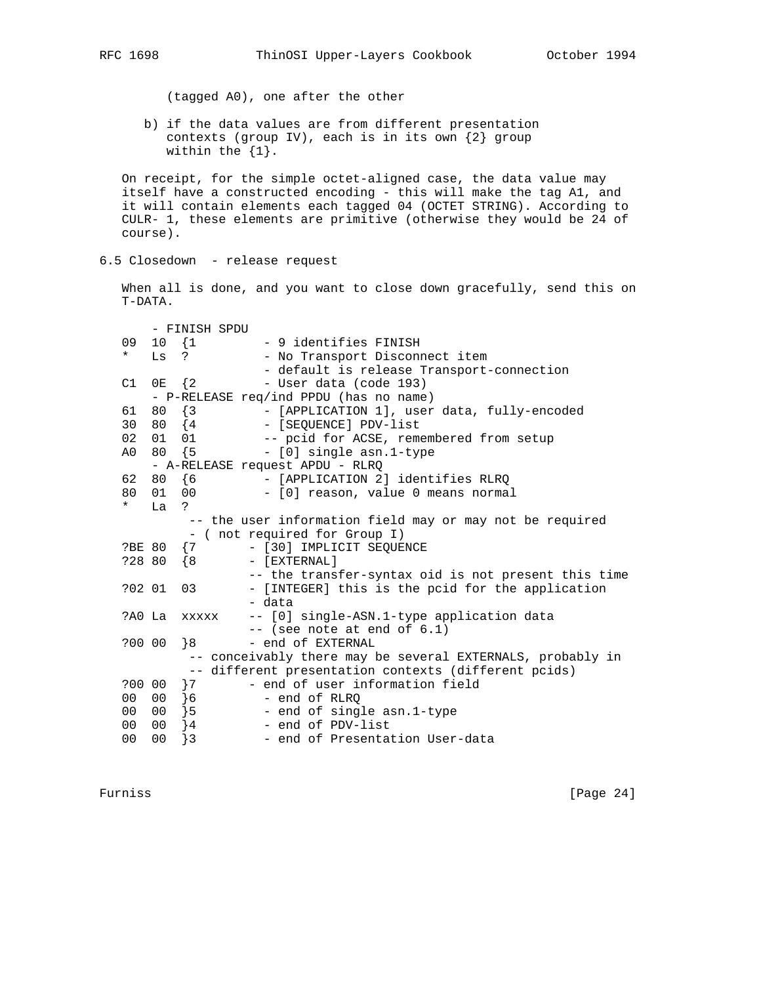(tagged A0), one after the other

 b) if the data values are from different presentation contexts (group IV), each is in its own {2} group within the {1}.

 On receipt, for the simple octet-aligned case, the data value may itself have a constructed encoding - this will make the tag A1, and it will contain elements each tagged 04 (OCTET STRING). According to CULR- 1, these elements are primitive (otherwise they would be 24 of course).

6.5 Closedown - release request

 When all is done, and you want to close down gracefully, send this on T-DATA.

|                 |                                 | - FINISH SPDU |                                                            |  |  |
|-----------------|---------------------------------|---------------|------------------------------------------------------------|--|--|
| 09              |                                 | $10 \t{1}$    | - 9 identifies FINISH                                      |  |  |
| $\star$         |                                 | Ls ?          | - No Transport Disconnect item                             |  |  |
|                 |                                 |               | - default is release Transport-connection                  |  |  |
|                 | $C1$ OE $\{2$                   |               | - User data (code 193)                                     |  |  |
|                 |                                 |               | - P-RELEASE req/ind PPDU (has no name)                     |  |  |
| 61              | 80 {3                           |               | - [APPLICATION 1], user data, fully-encoded                |  |  |
| 30              | 80 {4                           |               | - [SEQUENCE] PDV-list                                      |  |  |
| 02              | 01 01                           |               | -- pcid for ACSE, remembered from setup                    |  |  |
|                 |                                 | A0 80 {5      | - [0] single asn.1-type                                    |  |  |
|                 | - A-RELEASE request APDU - RLRQ |               |                                                            |  |  |
|                 |                                 | 62 80 {6      | - [APPLICATION 2] identifies RLRQ                          |  |  |
| 80              | 01 00                           |               | - [0] reason, value 0 means normal                         |  |  |
| $\star$         | La                              | $\tilde{S}$   |                                                            |  |  |
|                 |                                 |               | -- the user information field may or may not be required   |  |  |
|                 |                                 |               | - ( not required for Group I)                              |  |  |
| ?BE 80          |                                 | $\{7\}$       | - [30] IMPLICIT SEQUENCE                                   |  |  |
| ?28 80          |                                 | $\{8$         | $-$ [EXTERNAL]                                             |  |  |
|                 |                                 |               | -- the transfer-syntax oid is not present this time        |  |  |
|                 | ?02 01                          | 03            | - [INTEGER] this is the pcid for the application           |  |  |
|                 |                                 |               | - data                                                     |  |  |
|                 | ?AO La                          | XXXXX         | -- [0] single-ASN.1-type application data                  |  |  |
|                 |                                 |               | $--$ (see note at end of $6.1$ )                           |  |  |
| ?00 00          |                                 | 8             | - end of EXTERNAL                                          |  |  |
|                 |                                 |               | -- conceivably there may be several EXTERNALS, probably in |  |  |
|                 |                                 |               | -- different presentation contexts (different pcids)       |  |  |
|                 | $?0000$ }7                      |               | - end of user information field                            |  |  |
| 00 <sub>o</sub> | 00                              | $\{6\}$       | - end of RLRO                                              |  |  |
|                 |                                 | 00 00 }5      | - end of single asn.1-type                                 |  |  |
| 00              | 00                              | $\}$ 4        | - end of PDV-list                                          |  |  |
| 0 <sub>0</sub>  | 0 <sub>0</sub>                  | }3            | - end of Presentation User-data                            |  |  |

Furniss [Page 24]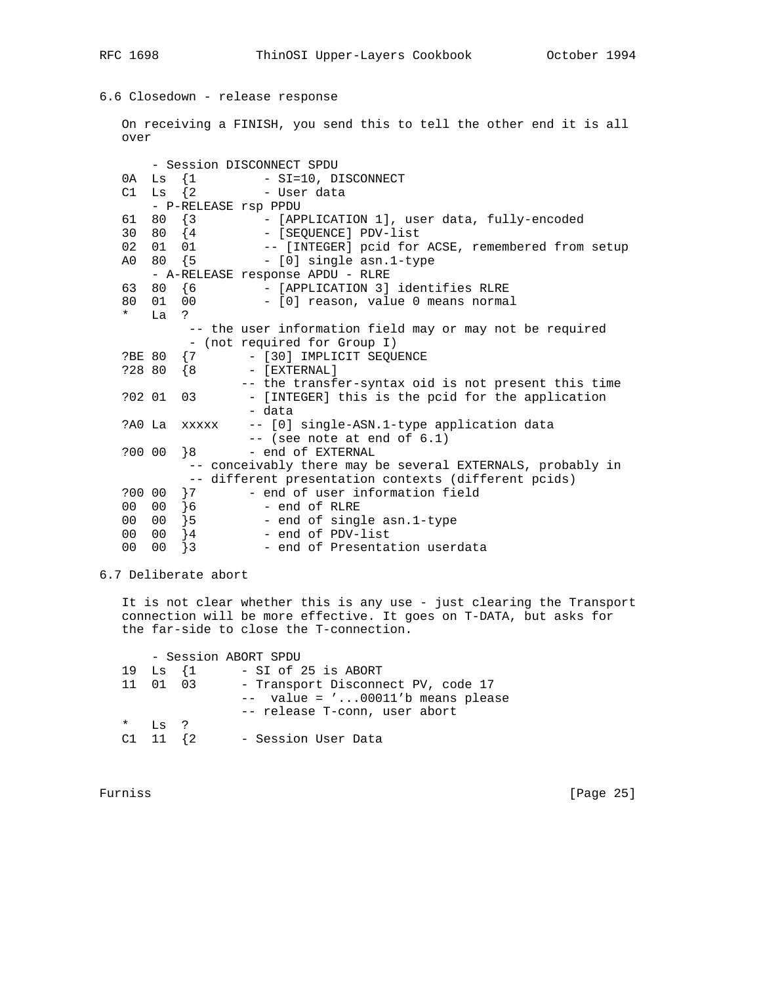6.6 Closedown - release response

 On receiving a FINISH, you send this to tell the other end it is all over - Session DISCONNECT SPDU 0A Ls {1 - SI=10, DISCONNECT C1 Ls {2 - User data - P-RELEASE rsp PPDU 61 80 {3 - [APPLICATION 1], user data, fully-encoded 30 80 {4 - [SEQUENCE] PDV-list 30 80 {4 - [SEQUENCE] PDV-list<br>02 01 01 -- [INTEGER] pcid for<br>A0 80 {5 - [0] single asn.1-tv -- [INTEGER] pcid for ACSE, remembered from setup - [0] single asn.1-type - A-RELEASE response APDU - RLRE 63 80 {6 - [APPLICATION 3] identifies RLRE 80 01 00 - [0] reason, value 0 means normal \* La ? -- the user information field may or may not be required - (not required for Group I) ?BE 80 {7 - [30] IMPLICIT SEQUENCE ?28 80 {8 - [EXTERNAL] -- the transfer-syntax oid is not present this time<br>?02 01 03 - [INTEGER] this is the poid for the application - [INTEGER] this is the pcid for the application - data ?A0 La xxxxx -- [0] single-ASN.1-type application data -- (see note at end of 6.1) ?00 00 }8 - end of EXTERNAL -- conceivably there may be several EXTERNALS, probably in -- different presentation contexts (different pcids) ?00 00 7 - end of user information field<br>00 00 6 - end of RLRE 00 00 }6 - end of RLRE<br>00 00 }5 - end of sing:<br>00 00 }4 - end of PDV-: 00 00 }5 - end of single asn.1-type 00 00 }4 - end of PDV-list 00 00 }3 - end of Presentation userdata

6.7 Deliberate abort

 It is not clear whether this is any use - just clearing the Transport connection will be more effective. It goes on T-DATA, but asks for the far-side to close the T-connection.

 - Session ABORT SPDU 19 Ls {1 - SI of 25 is ABORT 11 01 03 - Transport Disconnect PV, code 17 -- value = '...00011'b means please -- release T-conn, user abort \* Ls ? C1 11 {2 - Session User Data

Furniss [Page 25]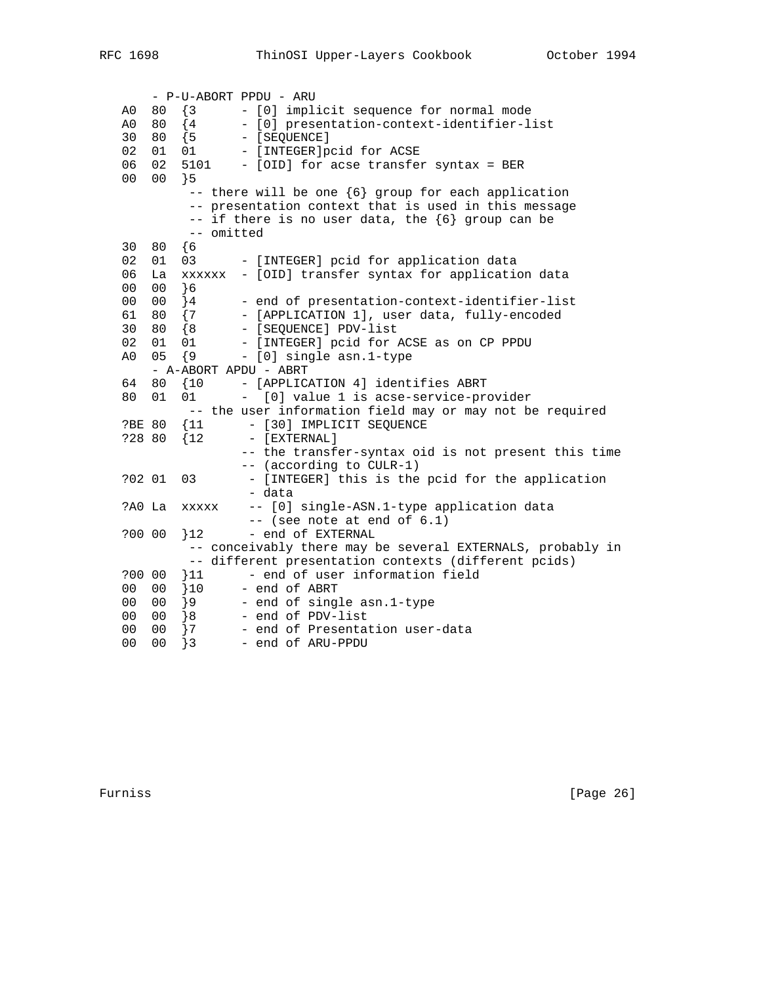- P-U-ABORT PPDU - ARU A0 80 {3 - [0] implicit sequence for normal mode A0 80 {4 - [0] presentation-context-identifier-list 30 80 {5 - [SEQUENCE] 02 01 01 - [INTEGER]pcid for ACSE 06 02 5101 - [OID] for acse transfer syntax = BER 00 00 }5  $--$  there will be one  ${6}$  group for each application -- presentation context that is used in this message  $--$  if there is no user data, the  ${6}$  group can be -- omitted 30 80 {6 02 01 03 - [INTEGER] pcid for application data 06 La xxxxxx - [OID] transfer syntax for application data 00 00 }6 00 00 }4 - end of presentation-context-identifier-list 61 80 {7 - [APPLICATION 1], user data, fully-encoded 30 80 {8 - [SEQUENCE] PDV-list 02 01 01 - [INTEGER] pcid for ACSE as on CP PPDU A0 05 {9 - [0] single asn.1-type - A-ABORT APDU - ABRT 64 80 {10 - [APPLICATION 4] identifies ABRT 80 01 01 - [0] value 1 is acse-service-provider -- the user information field may or may not be required ?BE 80 {11 - [30] IMPLICIT SEQUENCE ?28 80 {12 - [EXTERNAL] -- the transfer-syntax oid is not present this time -- (according to CULR-1) ?02 01 03 - [INTEGER] this is the pcid for the application - data ?A0 La xxxxx -- [0] single-ASN.1-type application data -- (see note at end of 6.1) ?00 00 }12 - end of EXTERNAL -- conceivably there may be several EXTERNALS, probably in -- different presentation contexts (different pcids) ?00 00 }11 - end of user information field 00 00 }10 - end of ABRT 00 00 }9 - end of single asn.1-type 00 00 }8 - end of PDV-list 00 00 }7 - end of Presentation user-data 00 00 }3 - end of ARU-PPDU

Furniss [Page 26]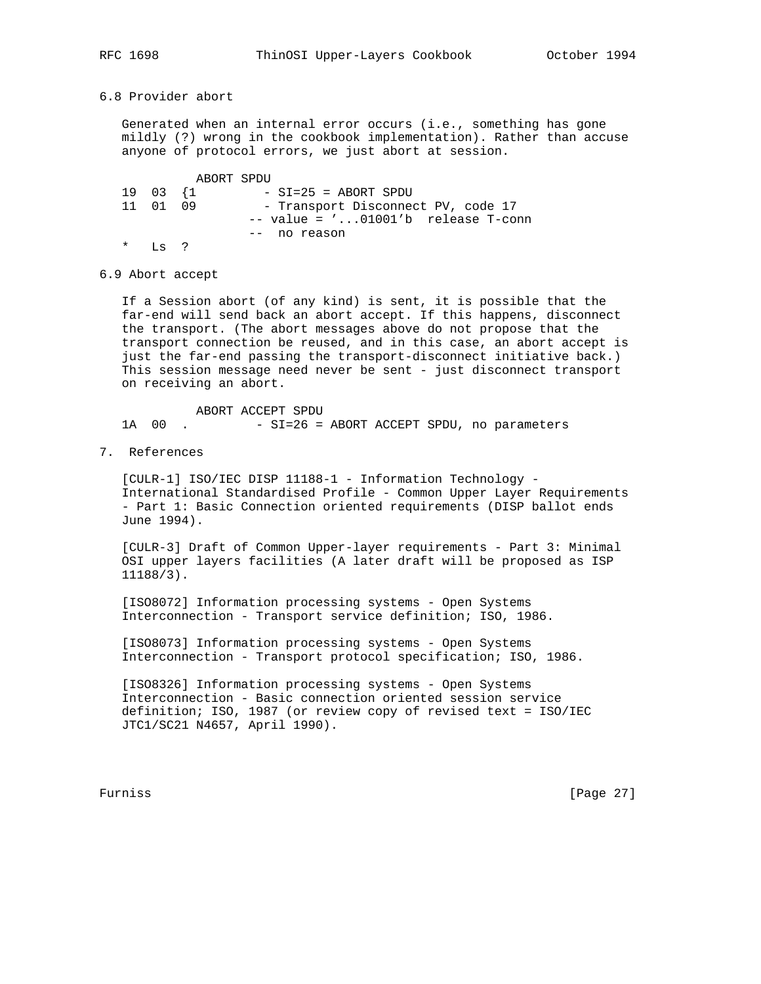# 6.8 Provider abort

 Generated when an internal error occurs (i.e., something has gone mildly (?) wrong in the cookbook implementation). Rather than accuse anyone of protocol errors, we just abort at session.

 ABORT SPDU 19 03 {1 - SI=25 = ABORT SPDU<br>11 01 09 - Transport Disconneo - Transport Disconnect PV, code 17 -- value = '...01001'b release T-conn -- no reason \* Ls ?

6.9 Abort accept

 If a Session abort (of any kind) is sent, it is possible that the far-end will send back an abort accept. If this happens, disconnect the transport. (The abort messages above do not propose that the transport connection be reused, and in this case, an abort accept is just the far-end passing the transport-disconnect initiative back.) This session message need never be sent - just disconnect transport on receiving an abort.

 ABORT ACCEPT SPDU 1A 00 . - SI=26 = ABORT ACCEPT SPDU, no parameters

7. References

 [CULR-1] ISO/IEC DISP 11188-1 - Information Technology - International Standardised Profile - Common Upper Layer Requirements - Part 1: Basic Connection oriented requirements (DISP ballot ends June 1994).

 [CULR-3] Draft of Common Upper-layer requirements - Part 3: Minimal OSI upper layers facilities (A later draft will be proposed as ISP 11188/3).

 [ISO8072] Information processing systems - Open Systems Interconnection - Transport service definition; ISO, 1986.

 [ISO8073] Information processing systems - Open Systems Interconnection - Transport protocol specification; ISO, 1986.

 [ISO8326] Information processing systems - Open Systems Interconnection - Basic connection oriented session service definition; ISO, 1987 (or review copy of revised text = ISO/IEC JTC1/SC21 N4657, April 1990).

Furniss [Page 27]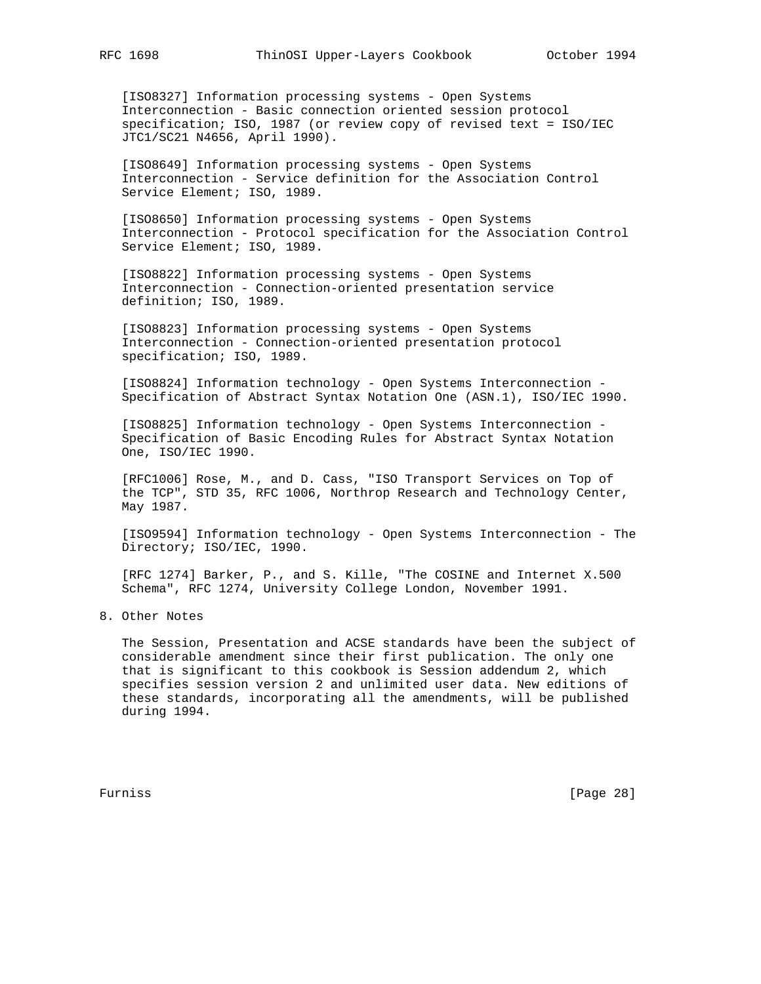[ISO8327] Information processing systems - Open Systems Interconnection - Basic connection oriented session protocol specification; ISO, 1987 (or review copy of revised text = ISO/IEC JTC1/SC21 N4656, April 1990).

[ISO8649] Information processing systems - Open Systems Interconnection - Service definition for the Association Control Service Element; ISO, 1989.

[ISO8650] Information processing systems - Open Systems Interconnection - Protocol specification for the Association Control Service Element; ISO, 1989.

 [ISO8822] Information processing systems - Open Systems Interconnection - Connection-oriented presentation service definition; ISO, 1989.

[ISO8823] Information processing systems - Open Systems Interconnection - Connection-oriented presentation protocol specification; ISO, 1989.

 [ISO8824] Information technology - Open Systems Interconnection - Specification of Abstract Syntax Notation One (ASN.1), ISO/IEC 1990.

 [ISO8825] Information technology - Open Systems Interconnection - Specification of Basic Encoding Rules for Abstract Syntax Notation One, ISO/IEC 1990.

 [RFC1006] Rose, M., and D. Cass, "ISO Transport Services on Top of the TCP", STD 35, RFC 1006, Northrop Research and Technology Center, May 1987.

 [ISO9594] Information technology - Open Systems Interconnection - The Directory; ISO/IEC, 1990.

 [RFC 1274] Barker, P., and S. Kille, "The COSINE and Internet X.500 Schema", RFC 1274, University College London, November 1991.

8. Other Notes

 The Session, Presentation and ACSE standards have been the subject of considerable amendment since their first publication. The only one that is significant to this cookbook is Session addendum 2, which specifies session version 2 and unlimited user data. New editions of these standards, incorporating all the amendments, will be published during 1994.

Furniss [Page 28]